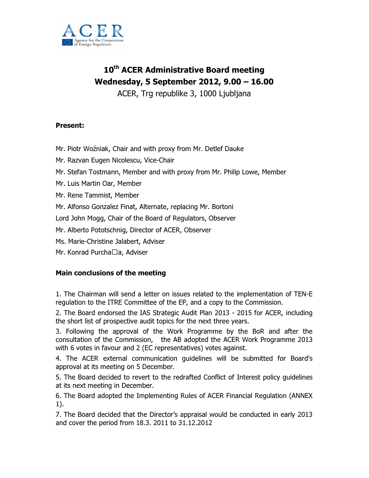

# 10<sup>th</sup> ACER Administrative Board meeting Wednesday, 5 September 2012, 9.00 – 16.00

ACER, Trg republike 3, 1000 Ljubljana

## Present:

- Mr. Piotr Woźniak, Chair and with proxy from Mr. Detlef Dauke
- Mr. Razvan Eugen Nicolescu, Vice-Chair
- Mr. Stefan Tostmann, Member and with proxy from Mr. Philip Lowe, Member
- Mr. Luis Martin Oar, Member
- Mr. Rene Tammist, Member
- Mr. Alfonso Gonzalez Finat, Alternate, replacing Mr. Bortoni
- Lord John Mogg, Chair of the Board of Regulators, Observer
- Mr. Alberto Pototschnig, Director of ACER, Observer
- Ms. Marie-Christine Jalabert, Adviser
- Mr. Konrad Purcha a, Adviser

## Main conclusions of the meeting

1. The Chairman will send a letter on issues related to the implementation of TEN-E regulation to the ITRE Committee of the EP, and a copy to the Commission.

2. The Board endorsed the IAS Strategic Audit Plan 2013 - 2015 for ACER, including the short list of prospective audit topics for the next three years.

3. Following the approval of the Work Programme by the BoR and after the consultation of the Commission, the AB adopted the ACER Work Programme 2013 with 6 votes in favour and 2 (EC representatives) votes against.

4. The ACER external communication guidelines will be submitted for Board's approval at its meeting on 5 December.

5. The Board decided to revert to the redrafted Conflict of Interest policy guidelines at its next meeting in December.

6. The Board adopted the Implementing Rules of ACER Financial Regulation (ANNEX 1).

7. The Board decided that the Director's appraisal would be conducted in early 2013 and cover the period from 18.3. 2011 to 31.12.2012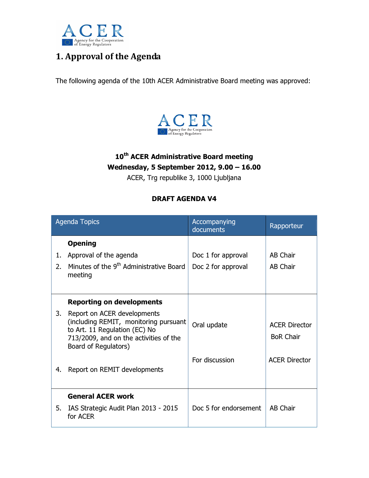

# 1. Approval of the Agenda

The following agenda of the 10th ACER Administrative Board meeting was approved:



# 10<sup>th</sup> ACER Administrative Board meeting Wednesday, 5 September 2012, 9.00 – 16.00

ACER, Trg republike 3, 1000 Ljubljana

## DRAFT AGENDA V4

| <b>Agenda Topics</b> |                                                                                                                                                                         | Accompanying<br>documents | Rapporteur                               |
|----------------------|-------------------------------------------------------------------------------------------------------------------------------------------------------------------------|---------------------------|------------------------------------------|
|                      | <b>Opening</b>                                                                                                                                                          |                           |                                          |
| 1.                   | Approval of the agenda                                                                                                                                                  | Doc 1 for approval        | <b>AB Chair</b>                          |
| 2.                   | Minutes of the 9 <sup>th</sup> Administrative Board<br>meeting                                                                                                          | Doc 2 for approval        | <b>AB Chair</b>                          |
|                      | <b>Reporting on developments</b>                                                                                                                                        |                           |                                          |
| 3.                   | Report on ACER developments<br>(including REMIT, monitoring pursuant<br>to Art. 11 Regulation (EC) No<br>713/2009, and on the activities of the<br>Board of Regulators) | Oral update               | <b>ACER Director</b><br><b>BoR Chair</b> |
| 4.                   | Report on REMIT developments                                                                                                                                            | For discussion            | <b>ACER Director</b>                     |
|                      | <b>General ACER work</b>                                                                                                                                                |                           |                                          |
| 5.                   | IAS Strategic Audit Plan 2013 - 2015<br>for ACER                                                                                                                        | Doc 5 for endorsement     | <b>AB Chair</b>                          |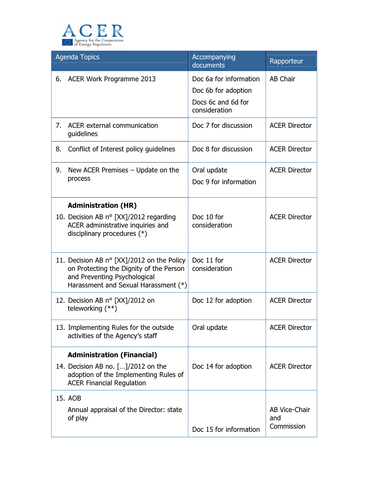

| <b>Agenda Topics</b> |                                                                                                                                                               | Accompanying<br>documents                                                            | Rapporteur                                |
|----------------------|---------------------------------------------------------------------------------------------------------------------------------------------------------------|--------------------------------------------------------------------------------------|-------------------------------------------|
| 6.                   | ACER Work Programme 2013                                                                                                                                      | Doc 6a for information<br>Doc 6b for adoption<br>Docs 6c and 6d for<br>consideration | AB Chair                                  |
| 7.                   | ACER external communication<br>guidelines                                                                                                                     | Doc 7 for discussion                                                                 | <b>ACER Director</b>                      |
| 8.                   | Conflict of Interest policy guidelines                                                                                                                        | Doc 8 for discussion                                                                 | <b>ACER Director</b>                      |
| 9.                   | New ACER Premises $-$ Update on the<br>process                                                                                                                | Oral update<br>Doc 9 for information                                                 | <b>ACER Director</b>                      |
|                      | <b>Administration (HR)</b>                                                                                                                                    |                                                                                      |                                           |
|                      | 10. Decision AB n° [XX]/2012 regarding<br>ACER administrative inquiries and<br>disciplinary procedures (*)                                                    | Doc 10 for<br>consideration                                                          | <b>ACER Director</b>                      |
|                      | 11. Decision AB n° [XX]/2012 on the Policy<br>on Protecting the Dignity of the Person<br>and Preventing Psychological<br>Harassment and Sexual Harassment (*) | Doc 11 for<br>consideration                                                          | <b>ACER Director</b>                      |
|                      | 12. Decision AB n° [XX]/2012 on<br>teleworking (**)                                                                                                           | Doc 12 for adoption                                                                  | <b>ACER Director</b>                      |
|                      | 13. Implementing Rules for the outside<br>activities of the Agency's staff                                                                                    | Oral update                                                                          | <b>ACER Director</b>                      |
|                      | <b>Administration (Financial)</b>                                                                                                                             |                                                                                      |                                           |
|                      | 14. Decision AB no. []/2012 on the<br>adoption of the Implementing Rules of<br><b>ACER Financial Regulation</b>                                               | Doc 14 for adoption                                                                  | <b>ACER Director</b>                      |
|                      | 15. AOB                                                                                                                                                       |                                                                                      |                                           |
|                      | Annual appraisal of the Director: state<br>of play                                                                                                            |                                                                                      | <b>AB Vice-Chair</b><br>and<br>Commission |
|                      |                                                                                                                                                               | Doc 15 for information                                                               |                                           |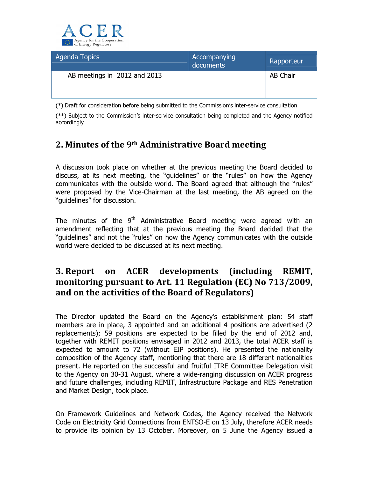

| Agenda Topics                | Accompanying<br>documents | Rapporteur      |
|------------------------------|---------------------------|-----------------|
| AB meetings in 2012 and 2013 |                           | <b>AB Chair</b> |

(\*) Draft for consideration before being submitted to the Commission's inter-service consultation

(\*\*) Subject to the Commission's inter-service consultation being completed and the Agency notified accordingly

# 2. Minutes of the 9th Administrative Board meeting

A discussion took place on whether at the previous meeting the Board decided to discuss, at its next meeting, the "guidelines" or the "rules" on how the Agency communicates with the outside world. The Board agreed that although the "rules" were proposed by the Vice-Chairman at the last meeting, the AB agreed on the "guidelines" for discussion.

The minutes of the  $9<sup>th</sup>$  Administrative Board meeting were agreed with an amendment reflecting that at the previous meeting the Board decided that the "guidelines" and not the "rules" on how the Agency communicates with the outside world were decided to be discussed at its next meeting.

# 3. Report on ACER developments (including REMIT, monitoring pursuant to Art. 11 Regulation (EC) No 713/2009, and on the activities of the Board of Regulators)

The Director updated the Board on the Agency's establishment plan: 54 staff members are in place, 3 appointed and an additional 4 positions are advertised (2 replacements); 59 positions are expected to be filled by the end of 2012 and, together with REMIT positions envisaged in 2012 and 2013, the total ACER staff is expected to amount to 72 (without EIP positions). He presented the nationality composition of the Agency staff, mentioning that there are 18 different nationalities present. He reported on the successful and fruitful ITRE Committee Delegation visit to the Agency on 30-31 August, where a wide-ranging discussion on ACER progress and future challenges, including REMIT, Infrastructure Package and RES Penetration and Market Design, took place.

On Framework Guidelines and Network Codes, the Agency received the Network Code on Electricity Grid Connections from ENTSO-E on 13 July, therefore ACER needs to provide its opinion by 13 October. Moreover, on 5 June the Agency issued a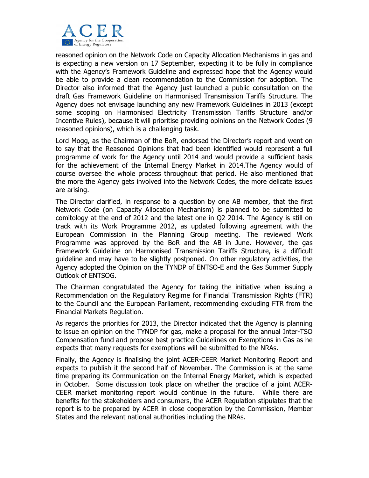

reasoned opinion on the Network Code on Capacity Allocation Mechanisms in gas and is expecting a new version on 17 September, expecting it to be fully in compliance with the Agency's Framework Guideline and expressed hope that the Agency would be able to provide a clean recommendation to the Commission for adoption. The Director also informed that the Agency just launched a public consultation on the draft Gas Framework Guideline on Harmonised Transmission Tariffs Structure. The Agency does not envisage launching any new Framework Guidelines in 2013 (except some scoping on Harmonised Electricity Transmission Tariffs Structure and/or Incentive Rules), because it will prioritise providing opinions on the Network Codes (9 reasoned opinions), which is a challenging task.

Lord Mogg, as the Chairman of the BoR, endorsed the Director's report and went on to say that the Reasoned Opinions that had been identified would represent a full programme of work for the Agency until 2014 and would provide a sufficient basis for the achievement of the Internal Energy Market in 2014.The Agency would of course oversee the whole process throughout that period. He also mentioned that the more the Agency gets involved into the Network Codes, the more delicate issues are arising.

The Director clarified, in response to a question by one AB member, that the first Network Code (on Capacity Allocation Mechanism) is planned to be submitted to comitology at the end of 2012 and the latest one in Q2 2014. The Agency is still on track with its Work Programme 2012, as updated following agreement with the European Commission in the Planning Group meeting. The reviewed Work Programme was approved by the BoR and the AB in June. However, the gas Framework Guideline on Harmonised Transmission Tariffs Structure, is a difficult guideline and may have to be slightly postponed. On other regulatory activities, the Agency adopted the Opinion on the TYNDP of ENTSO-E and the Gas Summer Supply Outlook of ENTSOG.

The Chairman congratulated the Agency for taking the initiative when issuing a Recommendation on the Regulatory Regime for Financial Transmission Rights (FTR) to the Council and the European Parliament, recommending excluding FTR from the Financial Markets Regulation.

As regards the priorities for 2013, the Director indicated that the Agency is planning to issue an opinion on the TYNDP for gas, make a proposal for the annual Inter-TSO Compensation fund and propose best practice Guidelines on Exemptions in Gas as he expects that many requests for exemptions will be submitted to the NRAs.

Finally, the Agency is finalising the joint ACER-CEER Market Monitoring Report and expects to publish it the second half of November. The Commission is at the same time preparing its Communication on the Internal Energy Market, which is expected in October. Some discussion took place on whether the practice of a joint ACER-CEER market monitoring report would continue in the future. While there are benefits for the stakeholders and consumers, the ACER Regulation stipulates that the report is to be prepared by ACER in close cooperation by the Commission, Member States and the relevant national authorities including the NRAs.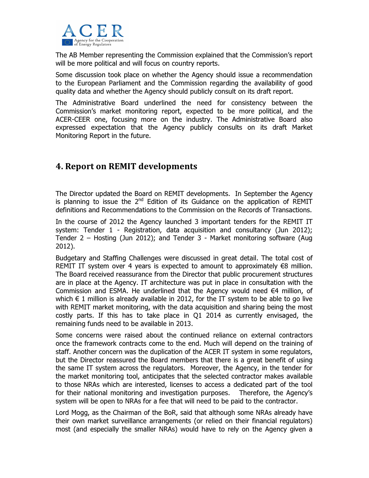

The AB Member representing the Commission explained that the Commission's report will be more political and will focus on country reports.

Some discussion took place on whether the Agency should issue a recommendation to the European Parliament and the Commission regarding the availability of good quality data and whether the Agency should publicly consult on its draft report.

The Administrative Board underlined the need for consistency between the Commission's market monitoring report, expected to be more political, and the ACER-CEER one, focusing more on the industry. The Administrative Board also expressed expectation that the Agency publicly consults on its draft Market Monitoring Report in the future.

# 4. Report on REMIT developments

The Director updated the Board on REMIT developments. In September the Agency is planning to issue the  $2^{nd}$  Edition of its Guidance on the application of REMIT definitions and Recommendations to the Commission on the Records of Transactions.

In the course of 2012 the Agency launched 3 important tenders for the REMIT IT system: Tender 1 - Registration, data acquisition and consultancy (Jun 2012); Tender 2 – Hosting (Jun 2012); and Tender 3 - Market monitoring software (Aug 2012).

Budgetary and Staffing Challenges were discussed in great detail. The total cost of REMIT IT system over 4 years is expected to amount to approximately  $\epsilon$ 8 million. The Board received reassurance from the Director that public procurement structures are in place at the Agency. IT architecture was put in place in consultation with the Commission and ESMA. He underlined that the Agency would need €4 million, of which  $\epsilon$  1 million is already available in 2012, for the IT system to be able to go live with REMIT market monitoring, with the data acquisition and sharing being the most costly parts. If this has to take place in Q1 2014 as currently envisaged, the remaining funds need to be available in 2013.

Some concerns were raised about the continued reliance on external contractors once the framework contracts come to the end. Much will depend on the training of staff. Another concern was the duplication of the ACER IT system in some regulators, but the Director reassured the Board members that there is a great benefit of using the same IT system across the regulators. Moreover, the Agency, in the tender for the market monitoring tool, anticipates that the selected contractor makes available to those NRAs which are interested, licenses to access a dedicated part of the tool for their national monitoring and investigation purposes. Therefore, the Agency's system will be open to NRAs for a fee that will need to be paid to the contractor.

Lord Mogg, as the Chairman of the BoR, said that although some NRAs already have their own market surveillance arrangements (or relied on their financial regulators) most (and especially the smaller NRAs) would have to rely on the Agency given a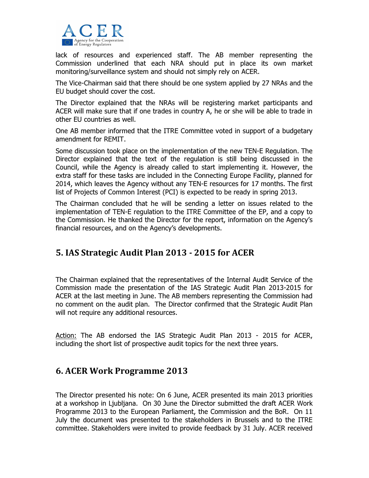

lack of resources and experienced staff. The AB member representing the Commission underlined that each NRA should put in place its own market monitoring/surveillance system and should not simply rely on ACER.

The Vice-Chairman said that there should be one system applied by 27 NRAs and the EU budget should cover the cost.

The Director explained that the NRAs will be registering market participants and ACER will make sure that if one trades in country A, he or she will be able to trade in other EU countries as well.

One AB member informed that the ITRE Committee voted in support of a budgetary amendment for REMIT.

Some discussion took place on the implementation of the new TEN-E Regulation. The Director explained that the text of the regulation is still being discussed in the Council, while the Agency is already called to start implementing it. However, the extra staff for these tasks are included in the Connecting Europe Facility, planned for 2014, which leaves the Agency without any TEN-E resources for 17 months. The first list of Projects of Common Interest (PCI) is expected to be ready in spring 2013.

The Chairman concluded that he will be sending a letter on issues related to the implementation of TEN-E regulation to the ITRE Committee of the EP, and a copy to the Commission. He thanked the Director for the report, information on the Agency's financial resources, and on the Agency's developments.

## 5. IAS Strategic Audit Plan 2013 - 2015 for ACER

The Chairman explained that the representatives of the Internal Audit Service of the Commission made the presentation of the IAS Strategic Audit Plan 2013-2015 for ACER at the last meeting in June. The AB members representing the Commission had no comment on the audit plan. The Director confirmed that the Strategic Audit Plan will not require any additional resources.

Action: The AB endorsed the IAS Strategic Audit Plan 2013 - 2015 for ACER, including the short list of prospective audit topics for the next three years.

## 6. ACER Work Programme 2013

The Director presented his note: On 6 June, ACER presented its main 2013 priorities at a workshop in Ljubljana. On 30 June the Director submitted the draft ACER Work Programme 2013 to the European Parliament, the Commission and the BoR. On 11 July the document was presented to the stakeholders in Brussels and to the ITRE committee. Stakeholders were invited to provide feedback by 31 July. ACER received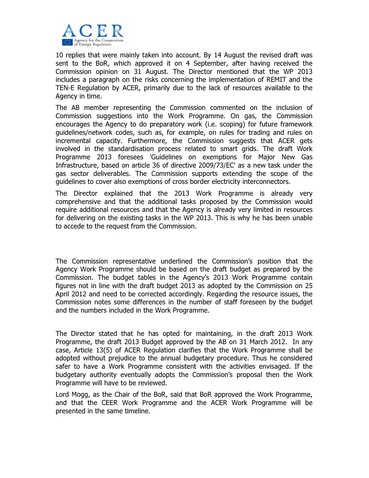

10 replies that were mainly taken into account. By 14 August the revised draft was sent to the BoR, which approved it on 4 September, after having received the Commission opinion on 31 August. The Director mentioned that the WP 2013 includes a paragraph on the risks concerning the implementation of REMIT and the TEN-E Regulation by ACER, primarily due to the lack of resources available to the Agency in time.

The AB member representing the Commission commented on the inclusion of Commission suggestions into the Work Programme. On gas, the Commission encourages the Agency to do preparatory work (i.e. scoping) for future framework guidelines/network codes, such as, for example, on rules for trading and rules on incremental capacity. Furthermore, the Commission suggests that ACER gets involved in the standardisation process related to smart grids. The draft Work Programme 2013 foresees 'Guidelines on exemptions for Major New Gas Infrastructure, based on article 36 of directive 2009/73/EC' as a new task under the gas sector deliverables. The Commission supports extending the scope of the guidelines to cover also exemptions of cross border electricity interconnectors.

The Director explained that the 2013 Work Programme is already very comprehensive and that the additional tasks proposed by the Commission would require additional resources and that the Agency is already very limited in resources for delivering on the existing tasks in the WP 2013. This is why he has been unable to accede to the request from the Commission.

The Commission representative underlined the Commission's position that the Agency Work Programme should be based on the draft budget as prepared by the Commission. The budget tables in the Agency's 2013 Work Programme contain figures not in line with the draft budget 2013 as adopted by the Commission on 25 April 2012 and need to be corrected accordingly. Regarding the resource issues, the Commission notes some differences in the number of staff foreseen by the budget and the numbers included in the Work Programme.

The Director stated that he has opted for maintaining, in the draft 2013 Work Programme, the draft 2013 Budget approved by the AB on 31 March 2012. In any case, Article 13(5) of ACER Regulation clarifies that the Work Programme shall be adopted without prejudice to the annual budgetary procedure. Thus he considered safer to have a Work Programme consistent with the activities envisaged. If the budgetary authority eventually adopts the Commission's proposal then the Work Programme will have to be reviewed.

Lord Mogg, as the Chair of the BoR, said that BoR approved the Work Programme, and that the CEER Work Programme and the ACER Work Programme will be presented in the same timeline.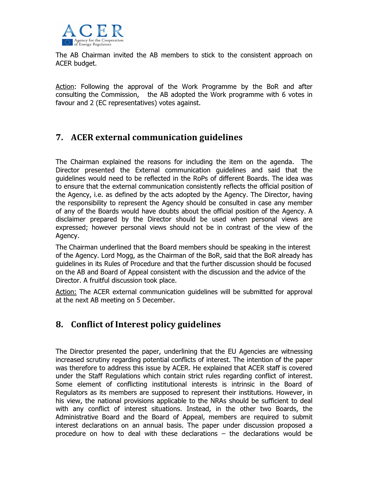

The AB Chairman invited the AB members to stick to the consistent approach on ACER budget.

Action: Following the approval of the Work Programme by the BoR and after consulting the Commission, the AB adopted the Work programme with 6 votes in favour and 2 (EC representatives) votes against.

# 7. ACER external communication guidelines

The Chairman explained the reasons for including the item on the agenda. The Director presented the External communication guidelines and said that the guidelines would need to be reflected in the RoPs of different Boards. The idea was to ensure that the external communication consistently reflects the official position of the Agency, i.e. as defined by the acts adopted by the Agency. The Director, having the responsibility to represent the Agency should be consulted in case any member of any of the Boards would have doubts about the official position of the Agency. A disclaimer prepared by the Director should be used when personal views are expressed; however personal views should not be in contrast of the view of the Agency.

The Chairman underlined that the Board members should be speaking in the interest of the Agency. Lord Mogg, as the Chairman of the BoR, said that the BoR already has guidelines in its Rules of Procedure and that the further discussion should be focused on the AB and Board of Appeal consistent with the discussion and the advice of the Director. A fruitful discussion took place.

Action: The ACER external communication guidelines will be submitted for approval at the next AB meeting on 5 December.

# 8. Conflict of Interest policy guidelines

The Director presented the paper, underlining that the EU Agencies are witnessing increased scrutiny regarding potential conflicts of interest. The intention of the paper was therefore to address this issue by ACER. He explained that ACER staff is covered under the Staff Regulations which contain strict rules regarding conflict of interest. Some element of conflicting institutional interests is intrinsic in the Board of Regulators as its members are supposed to represent their institutions. However, in his view, the national provisions applicable to the NRAs should be sufficient to deal with any conflict of interest situations. Instead, in the other two Boards, the Administrative Board and the Board of Appeal, members are required to submit interest declarations on an annual basis. The paper under discussion proposed a procedure on how to deal with these declarations – the declarations would be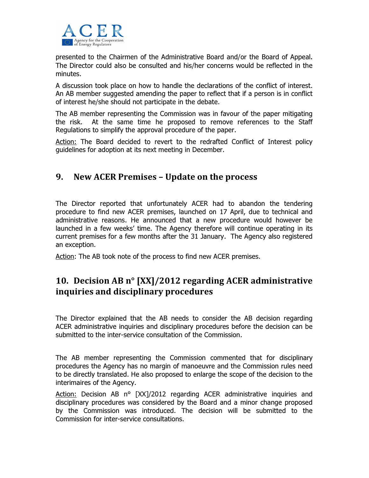

presented to the Chairmen of the Administrative Board and/or the Board of Appeal. The Director could also be consulted and his/her concerns would be reflected in the minutes.

A discussion took place on how to handle the declarations of the conflict of interest. An AB member suggested amending the paper to reflect that if a person is in conflict of interest he/she should not participate in the debate.

The AB member representing the Commission was in favour of the paper mitigating the risk. At the same time he proposed to remove references to the Staff Regulations to simplify the approval procedure of the paper.

Action: The Board decided to revert to the redrafted Conflict of Interest policy guidelines for adoption at its next meeting in December.

# 9. New ACER Premises – Update on the process

The Director reported that unfortunately ACER had to abandon the tendering procedure to find new ACER premises, launched on 17 April, due to technical and administrative reasons. He announced that a new procedure would however be launched in a few weeks' time. The Agency therefore will continue operating in its current premises for a few months after the 31 January. The Agency also registered an exception.

Action: The AB took note of the process to find new ACER premises.

# 10. Decision AB n° [XX]/2012 regarding ACER administrative inquiries and disciplinary procedures

The Director explained that the AB needs to consider the AB decision regarding ACER administrative inquiries and disciplinary procedures before the decision can be submitted to the inter-service consultation of the Commission.

The AB member representing the Commission commented that for disciplinary procedures the Agency has no margin of manoeuvre and the Commission rules need to be directly translated. He also proposed to enlarge the scope of the decision to the interimaires of the Agency.

Action: Decision AB n° [XX]/2012 regarding ACER administrative inquiries and disciplinary procedures was considered by the Board and a minor change proposed by the Commission was introduced. The decision will be submitted to the Commission for inter-service consultations.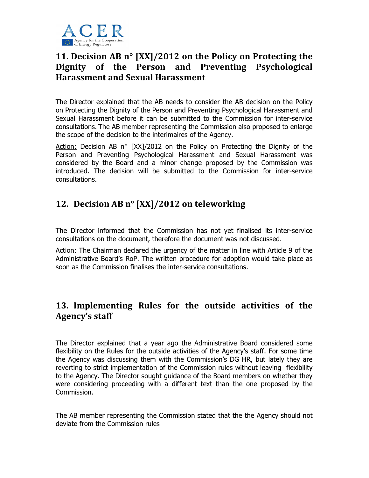

# 11. Decision AB n° [XX]/2012 on the Policy on Protecting the Dignity of the Person and Preventing Psychological Harassment and Sexual Harassment

The Director explained that the AB needs to consider the AB decision on the Policy on Protecting the Dignity of the Person and Preventing Psychological Harassment and Sexual Harassment before it can be submitted to the Commission for inter-service consultations. The AB member representing the Commission also proposed to enlarge the scope of the decision to the interimaires of the Agency.

Action: Decision AB n° [XX]/2012 on the Policy on Protecting the Dignity of the Person and Preventing Psychological Harassment and Sexual Harassment was considered by the Board and a minor change proposed by the Commission was introduced. The decision will be submitted to the Commission for inter-service consultations.

# 12. Decision AB n° [XX]/2012 on teleworking

The Director informed that the Commission has not yet finalised its inter-service consultations on the document, therefore the document was not discussed.

Action: The Chairman declared the urgency of the matter in line with Article 9 of the Administrative Board's RoP. The written procedure for adoption would take place as soon as the Commission finalises the inter-service consultations.

# 13. Implementing Rules for the outside activities of the Agency's staff

The Director explained that a year ago the Administrative Board considered some flexibility on the Rules for the outside activities of the Agency's staff. For some time the Agency was discussing them with the Commission's DG HR, but lately they are reverting to strict implementation of the Commission rules without leaving flexibility to the Agency. The Director sought guidance of the Board members on whether they were considering proceeding with a different text than the one proposed by the Commission.

The AB member representing the Commission stated that the the Agency should not deviate from the Commission rules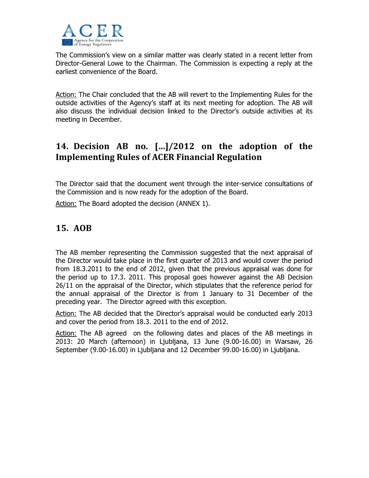

The Commission's view on a similar matter was clearly stated in a recent letter from Director-General Lowe to the Chairman. The Commission is expecting a reply at the earliest convenience of the Board.

Action: The Chair concluded that the AB will revert to the Implementing Rules for the outside activities of the Agency's staff at its next meeting for adoption. The AB will also discuss the individual decision linked to the Director's outside activities at its meeting in December.

# 14. Decision AB no. […]/2012 on the adoption of the Implementing Rules of ACER Financial Regulation

The Director said that the document went through the inter-service consultations of the Commission and is now ready for the adoption of the Board.

Action: The Board adopted the decision (ANNEX 1).

# 15. AOB

The AB member representing the Commission suggested that the next appraisal of the Director would take place in the first quarter of 2013 and would cover the period from 18.3.2011 to the end of 2012, given that the previous appraisal was done for the period up to 17.3. 2011. This proposal goes however against the AB Decision 26/11 on the appraisal of the Director, which stipulates that the reference period for the annual appraisal of the Director is from 1 January to 31 December of the preceding year. The Director agreed with this exception.

Action: The AB decided that the Director's appraisal would be conducted early 2013 and cover the period from 18.3. 2011 to the end of 2012.

Action: The AB agreed on the following dates and places of the AB meetings in 2013: 20 March (afternoon) in Ljubljana, 13 June (9.00-16.00) in Warsaw, 26 September (9.00-16.00) in Ljubljana and 12 December 99.00-16.00) in Ljubljana.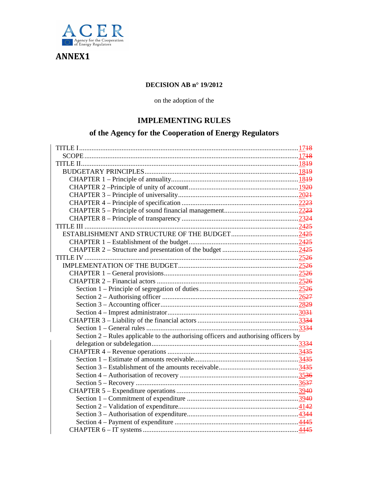

ANNEX1

## **DECISION AB n° 19/2012**

on the adoption of the

## **IMPLEMENTING RULES**

# **of the Agency for the Cooperation of Energy Regulators**

| Section 2 – Rules applicable to the authorising officers and authorising officers by |  |
|--------------------------------------------------------------------------------------|--|
|                                                                                      |  |
|                                                                                      |  |
|                                                                                      |  |
|                                                                                      |  |
|                                                                                      |  |
|                                                                                      |  |
|                                                                                      |  |
|                                                                                      |  |
|                                                                                      |  |
|                                                                                      |  |
|                                                                                      |  |
|                                                                                      |  |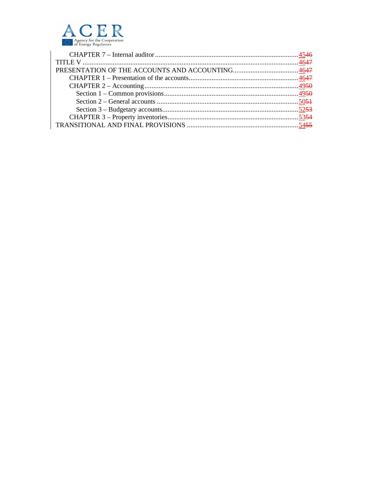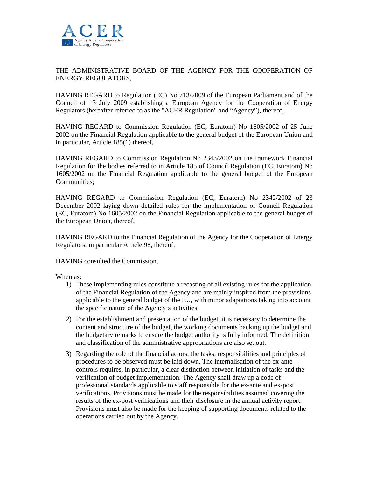

## THE ADMINISTRATIVE BOARD OF THE AGENCY FOR THE COOPERATION OF ENERGY REGULATORS,

HAVING REGARD to Regulation (EC) No 713/2009 of the European Parliament and of the Council of 13 July 2009 establishing a European Agency for the Cooperation of Energy Regulators (hereafter referred to as the "ACER Regulation" and "Agency"), thereof,

HAVING REGARD to Commission Regulation (EC, Euratom) No 1605/2002 of 25 June 2002 on the Financial Regulation applicable to the general budget of the European Union and in particular, Article 185(1) thereof,

HAVING REGARD to Commission Regulation No 2343/2002 on the framework Financial Regulation for the bodies referred to in Article 185 of Council Regulation (EC, Euratom) No 1605/2002 on the Financial Regulation applicable to the general budget of the European Communities;

HAVING REGARD to Commission Regulation (EC, Euratom) No 2342/2002 of 23 December 2002 laying down detailed rules for the implementation of Council Regulation (EC, Euratom) No 1605/2002 on the Financial Regulation applicable to the general budget of the European Union, thereof,

HAVING REGARD to the Financial Regulation of the Agency for the Cooperation of Energy Regulators, in particular Article 98, thereof,

HAVING consulted the Commission,

Whereas:

- 1) These implementing rules constitute a recasting of all existing rules for the application of the Financial Regulation of the Agency and are mainly inspired from the provisions applicable to the general budget of the EU, with minor adaptations taking into account the specific nature of the Agency's activities.
- 2) For the establishment and presentation of the budget, it is necessary to determine the content and structure of the budget, the working documents backing up the budget and the budgetary remarks to ensure the budget authority is fully informed. The definition and classification of the administrative appropriations are also set out.
- 3) Regarding the role of the financial actors, the tasks, responsibilities and principles of procedures to be observed must be laid down. The internalisation of the ex-ante controls requires, in particular, a clear distinction between initiation of tasks and the verification of budget implementation. The Agency shall draw up a code of professional standards applicable to staff responsible for the ex-ante and ex-post verifications. Provisions must be made for the responsibilities assumed covering the results of the ex-post verifications and their disclosure in the annual activity report. Provisions must also be made for the keeping of supporting documents related to the operations carried out by the Agency.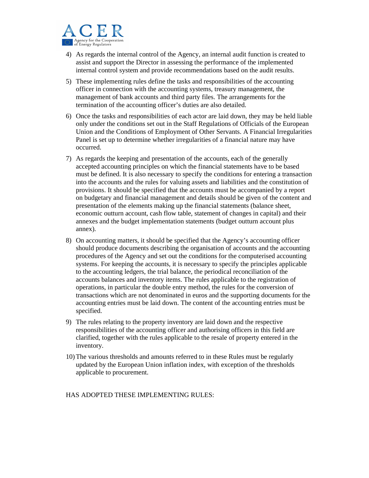

- 4) As regards the internal control of the Agency, an internal audit function is created to assist and support the Director in assessing the performance of the implemented internal control system and provide recommendations based on the audit results.
- 5) These implementing rules define the tasks and responsibilities of the accounting officer in connection with the accounting systems, treasury management, the management of bank accounts and third party files. The arrangements for the termination of the accounting officer's duties are also detailed.
- 6) Once the tasks and responsibilities of each actor are laid down, they may be held liable only under the conditions set out in the Staff Regulations of Officials of the European Union and the Conditions of Employment of Other Servants. A Financial Irregularities Panel is set up to determine whether irregularities of a financial nature may have occurred.
- 7) As regards the keeping and presentation of the accounts, each of the generally accepted accounting principles on which the financial statements have to be based must be defined. It is also necessary to specify the conditions for entering a transaction into the accounts and the rules for valuing assets and liabilities and the constitution of provisions. It should be specified that the accounts must be accompanied by a report on budgetary and financial management and details should be given of the content and presentation of the elements making up the financial statements (balance sheet, economic outturn account, cash flow table, statement of changes in capital) and their annexes and the budget implementation statements (budget outturn account plus annex).
- 8) On accounting matters, it should be specified that the Agency's accounting officer should produce documents describing the organisation of accounts and the accounting procedures of the Agency and set out the conditions for the computerised accounting systems. For keeping the accounts, it is necessary to specify the principles applicable to the accounting ledgers, the trial balance, the periodical reconciliation of the accounts balances and inventory items. The rules applicable to the registration of operations, in particular the double entry method, the rules for the conversion of transactions which are not denominated in euros and the supporting documents for the accounting entries must be laid down. The content of the accounting entries must be specified.
- 9) The rules relating to the property inventory are laid down and the respective responsibilities of the accounting officer and authorising officers in this field are clarified, together with the rules applicable to the resale of property entered in the inventory.
- 10)The various thresholds and amounts referred to in these Rules must be regularly updated by the European Union inflation index, with exception of the thresholds applicable to procurement.

#### HAS ADOPTED THESE IMPLEMENTING RULES: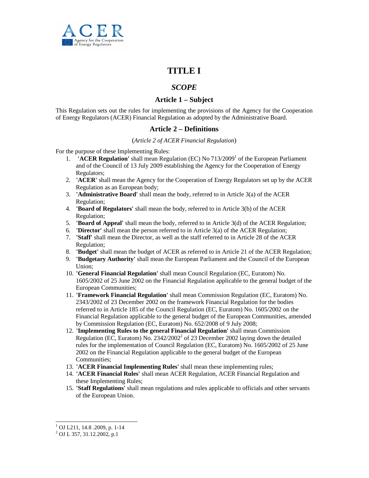

# **TITLE I**

## *SCOPE*

## **Article 1 – Subject**

This Regulation sets out the rules for implementing the provisions of the Agency for the Cooperation of Energy Regulators (ACER) Financial Regulation as adopted by the Administrative Board.

## **Article 2 – Definitions**

#### (*Article 2 of ACER Financial Regulation*)

For the purpose of these Implementing Rules:

- 1. YACER Regulation' shall mean Regulation (EC) No 713/2009<sup>1</sup> of the European Parliament and of the Council of 13 July 2009 establishing the Agency for the Cooperation of Energy Regulators;
- 2. **'ACER'** shall mean the Agency for the Cooperation of Energy Regulators set up by the ACER Regulation as an European body;
- 3. **'Administrative Board'** shall mean the body, referred to in Article 3(a) of the ACER Regulation;
- 4. **'Board of Regulators'** shall mean the body, referred to in Article 3(b) of the ACER Regulation;
- 5. **'Board of Appeal'** shall mean the body, referred to in Article 3(d) of the ACER Regulation;
- 6. **'Director'** shall mean the person referred to in Article 3(a) of the ACER Regulation;
- 7. **'Staff'** shall mean the Director, as well as the staff referred to in Article 28 of the ACER Regulation;
- 8. **'Budget'** shall mean the budget of ACER as referred to in Article 21 of the ACER Regulation;
- 9. **'Budgetary Authority'** shall mean the European Parliament and the Council of the European Union;
- 10. **'General Financial Regulation'** shall mean Council Regulation (EC, Euratom) No. 1605/2002 of 25 June 2002 on the Financial Regulation applicable to the general budget of the European Communities;
- 11. **'Framework Financial Regulation'** shall mean Commission Regulation (EC, Euratom) No. 2343/2002 of 23 December 2002 on the framework Financial Regulation for the bodies referred to in Article 185 of the Council Regulation (EC, Euratom) No. 1605/2002 on the Financial Regulation applicable to the general budget of the European Communities, amended by Commission Regulation (EC, Euratom) No. 652/2008 of 9 July 2008;
- 12. **'Implementing Rules to the general Financial Regulation'** shall mean Commission Regulation (EC, Euratom) No. 2342/2002<sup>2</sup> of 23 December 2002 laying down the detailed rules for the implementation of Council Regulation (EC, Euratom) No. 1605/2002 of 25 June 2002 on the Financial Regulation applicable to the general budget of the European Communities;
- 13. **'ACER Financial Implementing Rules'** shall mean these implementing rules;
- 14. **'ACER Financial Rules'** shall mean ACER Regulation, ACER Financial Regulation and these Implementing Rules;
- 15. **'Staff Regulations'** shall mean regulations and rules applicable to officials and other servants of the European Union.

-

<sup>1</sup> OJ L211, 14.8 .2009, p. 1-14

<sup>2</sup> OJ L 357, 31.12.2002, p.1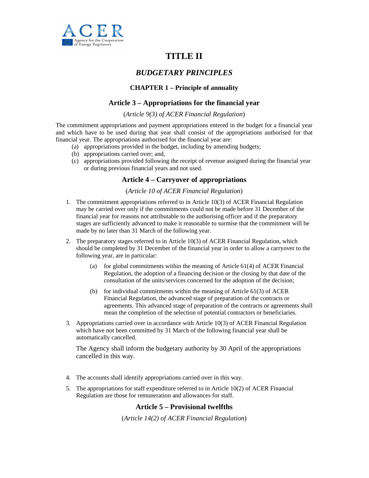

# **TITLE II**

## *BUDGETARY PRINCIPLES*

### **CHAPTER 1 – Principle of annuality**

## **Article 3 – Appropriations for the financial year**

#### (*Article 9(3) of ACER Financial Regulation*)

The commitment appropriations and payment appropriations entered in the budget for a financial year and which have to be used during that year shall consist of the appropriations authorised for that financial year. The appropriations authorised for the financial year are:

- (a) appropriations provided in the budget, including by amending budgets;
- (b) appropriations carried over; and,
- (c) appropriations provided following the receipt of revenue assigned during the financial year or during previous financial years and not used.

## **Article 4 – Carryover of appropriations**

#### (*Article 10 of ACER Financial Regulation*)

- 1. The commitment appropriations referred to in Article 10(3) of ACER Financial Regulation may be carried over only if the commitments could not be made before 31 December of the financial year for reasons not attributable to the authorising officer and if the preparatory stages are sufficiently advanced to make it reasonable to surmise that the commitment will be made by no later than 31 March of the following year.
- 2. The preparatory stages referred to in Article 10(3) of ACER Financial Regulation, which should be completed by 31 December of the financial year in order to allow a carryover to the following year, are in particular:
	- (a) for global commitments within the meaning of Article  $61(4)$  of ACER Financial Regulation, the adoption of a financing decision or the closing by that date of the consultation of the units/services concerned for the adoption of the decision;
	- (b) for individual commitments within the meaning of Article 61(3) of ACER Financial Regulation, the advanced stage of preparation of the contracts or agreements. This advanced stage of preparation of the contracts or agreements shall mean the completion of the selection of potential contractors or beneficiaries.
- 3. Appropriations carried over in accordance with Article 10(3) of ACER Financial Regulation which have not been committed by 31 March of the following financial year shall be automatically cancelled.

The Agency shall inform the budgetary authority by 30 April of the appropriations cancelled in this way.

- 4. The accounts shall identify appropriations carried over in this way.
- 5. The appropriations for staff expenditure referred to in Article 10(2) of ACER Financial Regulation are those for remuneration and allowances for staff.

#### **Article 5 – Provisional twelfths**

(*Article 14(2) of ACER Financial Regulation*)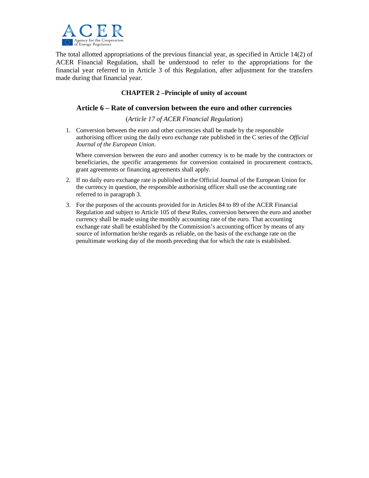

The total allotted appropriations of the previous financial year, as specified in Article 14(2) of ACER Financial Regulation, shall be understood to refer to the appropriations for the financial year referred to in Article 3 of this Regulation, after adjustment for the transfers made during that financial year.

## **CHAPTER 2 –Principle of unity of account**

### **Article 6 – Rate of conversion between the euro and other currencies**

(*Article 17 of ACER Financial Regulation*)

1. Conversion between the euro and other currencies shall be made by the responsible authorising officer using the daily euro exchange rate published in the C series of the *Official Journal of the European Union*.

Where conversion between the euro and another currency is to be made by the contractors or beneficiaries, the specific arrangements for conversion contained in procurement contracts, grant agreements or financing agreements shall apply.

- 2. If no daily euro exchange rate is published in the Official Journal of the European Union for the currency in question, the responsible authorising officer shall use the accounting rate referred to in paragraph 3.
- 3. For the purposes of the accounts provided for in Articles 84 to 89 of the ACER Financial Regulation and subject to Article 105 of these Rules, conversion between the euro and another currency shall be made using the monthly accounting rate of the euro. That accounting exchange rate shall be established by the Commission's accounting officer by means of any source of information he/she regards as reliable, on the basis of the exchange rate on the penultimate working day of the month preceding that for which the rate is established.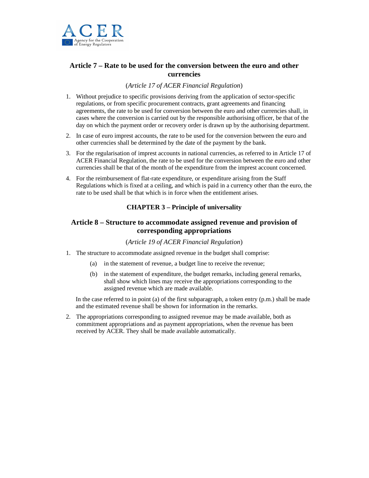

## **Article 7 – Rate to be used for the conversion between the euro and other currencies**

#### (*Article 17 of ACER Financial Regulation*)

- 1. Without prejudice to specific provisions deriving from the application of sector-specific regulations, or from specific procurement contracts, grant agreements and financing agreements, the rate to be used for conversion between the euro and other currencies shall, in cases where the conversion is carried out by the responsible authorising officer, be that of the day on which the payment order or recovery order is drawn up by the authorising department.
- 2. In case of euro imprest accounts, the rate to be used for the conversion between the euro and other currencies shall be determined by the date of the payment by the bank.
- 3. For the regularisation of imprest accounts in national currencies, as referred to in Article 17 of ACER Financial Regulation, the rate to be used for the conversion between the euro and other currencies shall be that of the month of the expenditure from the imprest account concerned.
- 4. For the reimbursement of flat-rate expenditure, or expenditure arising from the Staff Regulations which is fixed at a ceiling, and which is paid in a currency other than the euro, the rate to be used shall be that which is in force when the entitlement arises.

## **CHAPTER 3 – Principle of universality**

## **Article 8 – Structure to accommodate assigned revenue and provision of corresponding appropriations**

#### (*Article 19 of ACER Financial Regulation*)

- 1. The structure to accommodate assigned revenue in the budget shall comprise:
	- (a) in the statement of revenue, a budget line to receive the revenue;
	- (b) in the statement of expenditure, the budget remarks, including general remarks, shall show which lines may receive the appropriations corresponding to the assigned revenue which are made available.

In the case referred to in point (a) of the first subparagraph, a token entry  $(p.m.)$  shall be made and the estimated revenue shall be shown for information in the remarks.

2. The appropriations corresponding to assigned revenue may be made available, both as commitment appropriations and as payment appropriations, when the revenue has been received by ACER. They shall be made available automatically.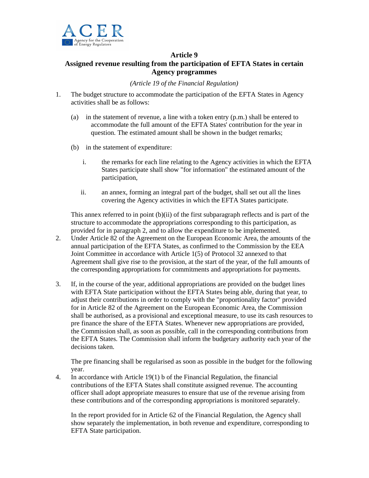

## **Article 9**

## **Assigned revenue resulting from the participation of EFTA States in certain Agency programmes**

*(Article 19 of the Financial Regulation)* 

- 1. The budget structure to accommodate the participation of the EFTA States in Agency activities shall be as follows:
	- (a) in the statement of revenue, a line with a token entry (p.m.) shall be entered to accommodate the full amount of the EFTA States' contribution for the year in question. The estimated amount shall be shown in the budget remarks;
	- (b) in the statement of expenditure:
		- i. the remarks for each line relating to the Agency activities in which the EFTA States participate shall show "for information" the estimated amount of the participation,
		- ii. an annex, forming an integral part of the budget, shall set out all the lines covering the Agency activities in which the EFTA States participate.

This annex referred to in point  $(b)(ii)$  of the first subparagraph reflects and is part of the structure to accommodate the appropriations corresponding to this participation, as provided for in paragraph 2, and to allow the expenditure to be implemented.

- 2. Under Article 82 of the Agreement on the European Economic Area, the amounts of the annual participation of the EFTA States, as confirmed to the Commission by the EEA Joint Committee in accordance with Article 1(5) of Protocol 32 annexed to that Agreement shall give rise to the provision, at the start of the year, of the full amounts of the corresponding appropriations for commitments and appropriations for payments.
- 3. If, in the course of the year, additional appropriations are provided on the budget lines with EFTA State participation without the EFTA States being able, during that year, to adjust their contributions in order to comply with the "proportionality factor" provided for in Article 82 of the Agreement on the European Economic Area, the Commission shall be authorised, as a provisional and exceptional measure, to use its cash resources to pre finance the share of the EFTA States. Whenever new appropriations are provided, the Commission shall, as soon as possible, call in the corresponding contributions from the EFTA States. The Commission shall inform the budgetary authority each year of the decisions taken.

The pre financing shall be regularised as soon as possible in the budget for the following year.

4. In accordance with Article 19(1) b of the Financial Regulation, the financial contributions of the EFTA States shall constitute assigned revenue. The accounting officer shall adopt appropriate measures to ensure that use of the revenue arising from these contributions and of the corresponding appropriations is monitored separately.

In the report provided for in Article 62 of the Financial Regulation, the Agency shall show separately the implementation, in both revenue and expenditure, corresponding to EFTA State participation.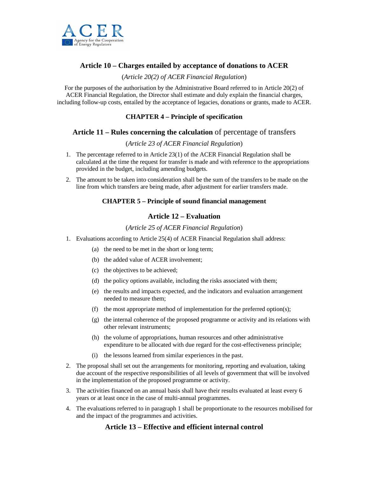

## **Article 10 – Charges entailed by acceptance of donations to ACER**

#### (*Article 20(2) of ACER Financial Regulation*)

For the purposes of the authorisation by the Administrative Board referred to in Article 20(2) of ACER Financial Regulation, the Director shall estimate and duly explain the financial charges, including follow-up costs, entailed by the acceptance of legacies, donations or grants, made to ACER.

#### **CHAPTER 4 – Principle of specification**

## **Article 11 – Rules concerning the calculation** of percentage of transfers

#### (*Article 23 of ACER Financial Regulation*)

- 1. The percentage referred to in Article 23(1) of the ACER Financial Regulation shall be calculated at the time the request for transfer is made and with reference to the appropriations provided in the budget, including amending budgets.
- 2. The amount to be taken into consideration shall be the sum of the transfers to be made on the line from which transfers are being made, after adjustment for earlier transfers made.

## **CHAPTER 5 – Principle of sound financial management**

## **Article 12 – Evaluation**

#### (*Article 25 of ACER Financial Regulation*)

- 1. Evaluations according to Article 25(4) of ACER Financial Regulation shall address:
	- (a) the need to be met in the short or long term;
	- (b) the added value of ACER involvement;
	- (c) the objectives to be achieved;
	- (d) the policy options available, including the risks associated with them;
	- (e) the results and impacts expected, and the indicators and evaluation arrangement needed to measure them;
	- (f) the most appropriate method of implementation for the preferred option(s);
	- (g) the internal coherence of the proposed programme or activity and its relations with other relevant instruments;
	- (h) the volume of appropriations, human resources and other administrative expenditure to be allocated with due regard for the cost-effectiveness principle;
	- (i) the lessons learned from similar experiences in the past.
- 2. The proposal shall set out the arrangements for monitoring, reporting and evaluation, taking due account of the respective responsibilities of all levels of government that will be involved in the implementation of the proposed programme or activity.
- 3. The activities financed on an annual basis shall have their results evaluated at least every 6 years or at least once in the case of multi-annual programmes.
- 4. The evaluations referred to in paragraph 1 shall be proportionate to the resources mobilised for and the impact of the programmes and activities.

## **Article 13 – Effective and efficient internal control**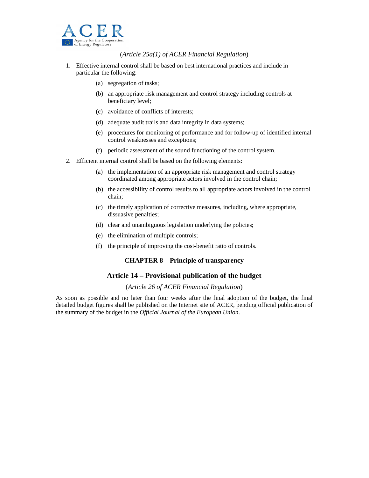

(*Article 25a(1) of ACER Financial Regulation*)

- 1. Effective internal control shall be based on best international practices and include in particular the following:
	- (a) segregation of tasks;
	- (b) an appropriate risk management and control strategy including controls at beneficiary level;
	- (c) avoidance of conflicts of interests;
	- (d) adequate audit trails and data integrity in data systems;
	- (e) procedures for monitoring of performance and for follow-up of identified internal control weaknesses and exceptions;
	- (f) periodic assessment of the sound functioning of the control system.
- 2. Efficient internal control shall be based on the following elements:
	- (a) the implementation of an appropriate risk management and control strategy coordinated among appropriate actors involved in the control chain;
	- (b) the accessibility of control results to all appropriate actors involved in the control chain;
	- (c) the timely application of corrective measures, including, where appropriate, dissuasive penalties;
	- (d) clear and unambiguous legislation underlying the policies;
	- (e) the elimination of multiple controls;
	- (f) the principle of improving the cost-benefit ratio of controls.

#### **CHAPTER 8 – Principle of transparency**

#### **Article 14 – Provisional publication of the budget**

#### (*Article 26 of ACER Financial Regulation*)

As soon as possible and no later than four weeks after the final adoption of the budget, the final detailed budget figures shall be published on the Internet site of ACER, pending official publication of the summary of the budget in the *Official Journal of the European Union*.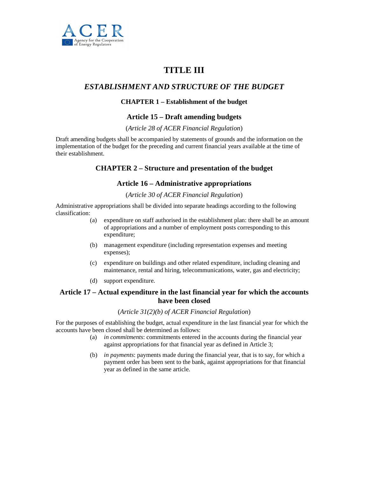

# **TITLE III**

## *ESTABLISHMENT AND STRUCTURE OF THE BUDGET*

#### **CHAPTER 1 – Establishment of the budget**

#### **Article 15 – Draft amending budgets**

#### (*Article 28 of ACER Financial Regulation*)

Draft amending budgets shall be accompanied by statements of grounds and the information on the implementation of the budget for the preceding and current financial years available at the time of their establishment.

## **CHAPTER 2 – Structure and presentation of the budget**

#### **Article 16 – Administrative appropriations**

#### (*Article 30 of ACER Financial Regulation*)

Administrative appropriations shall be divided into separate headings according to the following classification:

- (a) expenditure on staff authorised in the establishment plan: there shall be an amount of appropriations and a number of employment posts corresponding to this expenditure;
- (b) management expenditure (including representation expenses and meeting expenses);
- (c) expenditure on buildings and other related expenditure, including cleaning and maintenance, rental and hiring, telecommunications, water, gas and electricity;
- (d) support expenditure.

## **Article 17 – Actual expenditure in the last financial year for which the accounts have been closed**

#### (*Article 31(2)(b) of ACER Financial Regulation*)

For the purposes of establishing the budget, actual expenditure in the last financial year for which the accounts have been closed shall be determined as follows:

- (a) *in commitments*: commitments entered in the accounts during the financial year against appropriations for that financial year as defined in Article 3;
- (b) *in payments*: payments made during the financial year, that is to say, for which a payment order has been sent to the bank, against appropriations for that financial year as defined in the same article.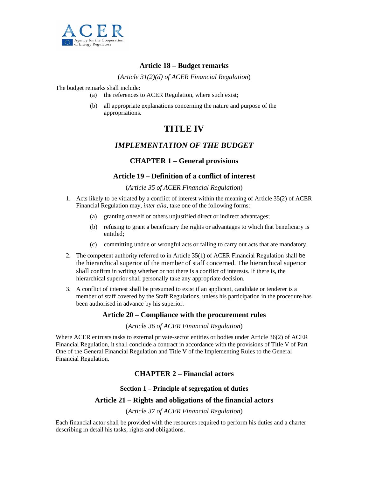

## **Article 18 – Budget remarks**

(*Article 31(2)(d) of ACER Financial Regulation*)

The budget remarks shall include:

- (a) the references to ACER Regulation, where such exist;
- (b) all appropriate explanations concerning the nature and purpose of the appropriations.

# **TITLE IV**

## *IMPLEMENTATION OF THE BUDGET*

## **CHAPTER 1 – General provisions**

## **Article 19 – Definition of a conflict of interest**

#### (*Article 35 of ACER Financial Regulation*)

- 1. Acts likely to be vitiated by a conflict of interest within the meaning of Article 35(2) of ACER Financial Regulation may, *inter alia*, take one of the following forms:
	- (a) granting oneself or others unjustified direct or indirect advantages;
	- (b) refusing to grant a beneficiary the rights or advantages to which that beneficiary is entitled;
	- (c) committing undue or wrongful acts or failing to carry out acts that are mandatory.
- 2. The competent authority referred to in Article 35(1) of ACER Financial Regulation shall be the hierarchical superior of the member of staff concerned. The hierarchical superior shall confirm in writing whether or not there is a conflict of interests. If there is, the hierarchical superior shall personally take any appropriate decision.
- 3. A conflict of interest shall be presumed to exist if an applicant, candidate or tenderer is a member of staff covered by the Staff Regulations, unless his participation in the procedure has been authorised in advance by his superior.

## **Article 20 – Compliance with the procurement rules**

#### (*Article 36 of ACER Financial Regulation*)

Where ACER entrusts tasks to external private-sector entities or bodies under Article 36(2) of ACER Financial Regulation, it shall conclude a contract in accordance with the provisions of Title V of Part One of the General Financial Regulation and Title V of the Implementing Rules to the General Financial Regulation.

## **CHAPTER 2 – Financial actors**

#### **Section 1 – Principle of segregation of duties**

#### **Article 21 – Rights and obligations of the financial actors**

#### (*Article 37 of ACER Financial Regulation*)

Each financial actor shall be provided with the resources required to perform his duties and a charter describing in detail his tasks, rights and obligations.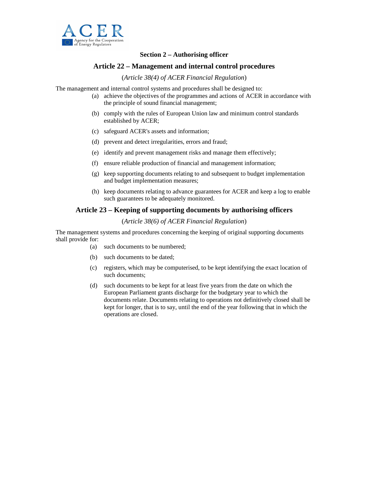

### **Section 2 – Authorising officer**

## **Article 22 – Management and internal control procedures**

#### (*Article 38(4) of ACER Financial Regulation*)

The management and internal control systems and procedures shall be designed to:

- (a) achieve the objectives of the programmes and actions of ACER in accordance with the principle of sound financial management;
- (b) comply with the rules of European Union law and minimum control standards established by ACER;
- (c) safeguard ACER's assets and information;
- (d) prevent and detect irregularities, errors and fraud;
- (e) identify and prevent management risks and manage them effectively;
- (f) ensure reliable production of financial and management information;
- (g) keep supporting documents relating to and subsequent to budget implementation and budget implementation measures;
- (h) keep documents relating to advance guarantees for ACER and keep a log to enable such guarantees to be adequately monitored.

#### **Article 23 – Keeping of supporting documents by authorising officers**

#### (*Article 38(6) of ACER Financial Regulation*)

The management systems and procedures concerning the keeping of original supporting documents shall provide for:

- (a) such documents to be numbered;
- (b) such documents to be dated;
- (c) registers, which may be computerised, to be kept identifying the exact location of such documents;
- (d) such documents to be kept for at least five years from the date on which the European Parliament grants discharge for the budgetary year to which the documents relate. Documents relating to operations not definitively closed shall be kept for longer, that is to say, until the end of the year following that in which the operations are closed.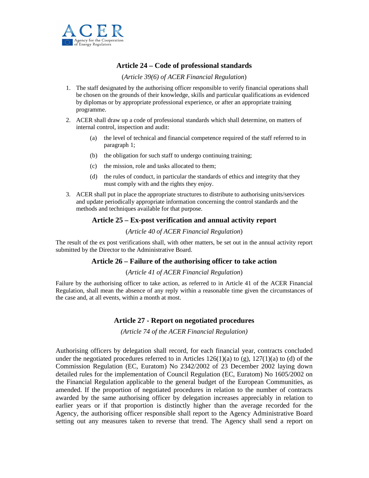

## **Article 24 – Code of professional standards**

#### (*Article 39(6) of ACER Financial Regulation*)

- 1. The staff designated by the authorising officer responsible to verify financial operations shall be chosen on the grounds of their knowledge, skills and particular qualifications as evidenced by diplomas or by appropriate professional experience, or after an appropriate training programme.
- 2. ACER shall draw up a code of professional standards which shall determine, on matters of internal control, inspection and audit:
	- (a) the level of technical and financial competence required of the staff referred to in paragraph 1;
	- (b) the obligation for such staff to undergo continuing training;
	- (c) the mission, role and tasks allocated to them;
	- (d) the rules of conduct, in particular the standards of ethics and integrity that they must comply with and the rights they enjoy.
- 3. ACER shall put in place the appropriate structures to distribute to authorising units/services and update periodically appropriate information concerning the control standards and the methods and techniques available for that purpose.

## **Article 25 – Ex-post verification and annual activity report**

#### (*Article 40 of ACER Financial Regulation*)

The result of the ex post verifications shall, with other matters, be set out in the annual activity report submitted by the Director to the Administrative Board.

#### **Article 26 – Failure of the authorising officer to take action**

#### (*Article 41 of ACER Financial Regulation*)

Failure by the authorising officer to take action, as referred to in Article 41 of the ACER Financial Regulation, shall mean the absence of any reply within a reasonable time given the circumstances of the case and, at all events, within a month at most.

## **Article 27 - Report on negotiated procedures**

*(Article 74 of the ACER Financial Regulation)* 

Authorising officers by delegation shall record, for each financial year, contracts concluded under the negotiated procedures referred to in Articles  $126(1)(a)$  to  $(g)$ ,  $127(1)(a)$  to  $(d)$  of the Commission Regulation (EC, Euratom) No 2342/2002 of 23 December 2002 laying down detailed rules for the implementation of Council Regulation (EC, Euratom) No 1605/2002 on the Financial Regulation applicable to the general budget of the European Communities, as amended. If the proportion of negotiated procedures in relation to the number of contracts awarded by the same authorising officer by delegation increases appreciably in relation to earlier years or if that proportion is distinctly higher than the average recorded for the Agency, the authorising officer responsible shall report to the Agency Administrative Board setting out any measures taken to reverse that trend. The Agency shall send a report on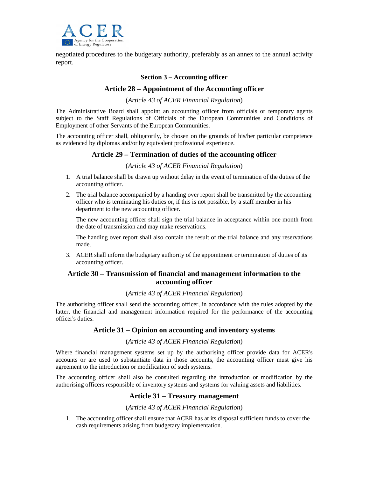

negotiated procedures to the budgetary authority, preferably as an annex to the annual activity report.

#### **Section 3 – Accounting officer**

#### **Article 28 – Appointment of the Accounting officer**

(*Article 43 of ACER Financial Regulation*)

The Administrative Board shall appoint an accounting officer from officials or temporary agents subject to the Staff Regulations of Officials of the European Communities and Conditions of Employment of other Servants of the European Communities.

The accounting officer shall, obligatorily, be chosen on the grounds of his/her particular competence as evidenced by diplomas and/or by equivalent professional experience.

#### **Article 29 – Termination of duties of the accounting officer**

#### (*Article 43 of ACER Financial Regulation*)

- 1. A trial balance shall be drawn up without delay in the event of termination of the duties of the accounting officer.
- 2. The trial balance accompanied by a handing over report shall be transmitted by the accounting officer who is terminating his duties or, if this is not possible, by a staff member in his department to the new accounting officer.

The new accounting officer shall sign the trial balance in acceptance within one month from the date of transmission and may make reservations.

The handing over report shall also contain the result of the trial balance and any reservations made.

3. ACER shall inform the budgetary authority of the appointment or termination of duties of its accounting officer.

### **Article 30 – Transmission of financial and management information to the accounting officer**

#### (*Article 43 of ACER Financial Regulation*)

The authorising officer shall send the accounting officer, in accordance with the rules adopted by the latter, the financial and management information required for the performance of the accounting officer's duties.

#### **Article 31 – Opinion on accounting and inventory systems**

#### (*Article 43 of ACER Financial Regulation*)

Where financial management systems set up by the authorising officer provide data for ACER's accounts or are used to substantiate data in those accounts, the accounting officer must give his agreement to the introduction or modification of such systems.

The accounting officer shall also be consulted regarding the introduction or modification by the authorising officers responsible of inventory systems and systems for valuing assets and liabilities.

#### **Article 31 – Treasury management**

#### (*Article 43 of ACER Financial Regulation*)

1. The accounting officer shall ensure that ACER has at its disposal sufficient funds to cover the cash requirements arising from budgetary implementation.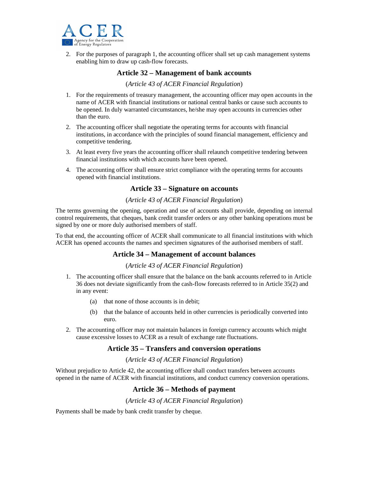

2. For the purposes of paragraph 1, the accounting officer shall set up cash management systems enabling him to draw up cash-flow forecasts.

## **Article 32 – Management of bank accounts**

#### (*Article 43 of ACER Financial Regulation*)

- 1. For the requirements of treasury management, the accounting officer may open accounts in the name of ACER with financial institutions or national central banks or cause such accounts to be opened. In duly warranted circumstances, he/she may open accounts in currencies other than the euro.
- 2. The accounting officer shall negotiate the operating terms for accounts with financial institutions, in accordance with the principles of sound financial management, efficiency and competitive tendering.
- 3. At least every five years the accounting officer shall relaunch competitive tendering between financial institutions with which accounts have been opened.
- 4. The accounting officer shall ensure strict compliance with the operating terms for accounts opened with financial institutions.

#### **Article 33 – Signature on accounts**

#### (*Article 43 of ACER Financial Regulation*)

The terms governing the opening, operation and use of accounts shall provide, depending on internal control requirements, that cheques, bank credit transfer orders or any other banking operations must be signed by one or more duly authorised members of staff.

To that end, the accounting officer of ACER shall communicate to all financial institutions with which ACER has opened accounts the names and specimen signatures of the authorised members of staff.

## **Article 34 – Management of account balances**

#### (*Article 43 of ACER Financial Regulation*)

- 1. The accounting officer shall ensure that the balance on the bank accounts referred to in Article 36 does not deviate significantly from the cash-flow forecasts referred to in Article 35(2) and in any event:
	- (a) that none of those accounts is in debit;
	- (b) that the balance of accounts held in other currencies is periodically converted into euro.
- 2. The accounting officer may not maintain balances in foreign currency accounts which might cause excessive losses to ACER as a result of exchange rate fluctuations.

#### **Article 35 – Transfers and conversion operations**

(*Article 43 of ACER Financial Regulation*)

Without prejudice to Article 42, the accounting officer shall conduct transfers between accounts opened in the name of ACER with financial institutions, and conduct currency conversion operations.

## **Article 36 – Methods of payment**

#### (*Article 43 of ACER Financial Regulation*)

Payments shall be made by bank credit transfer by cheque.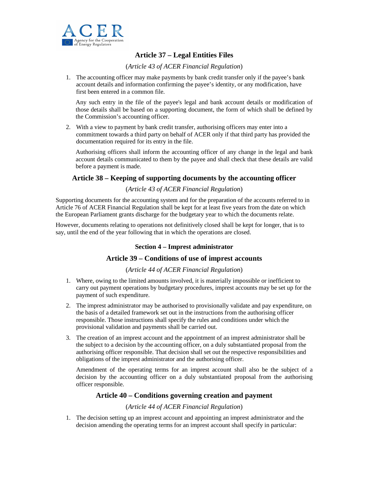

## **Article 37 – Legal Entities Files**

(*Article 43 of ACER Financial Regulation*)

1. The accounting officer may make payments by bank credit transfer only if the payee's bank account details and information confirming the payee's identity, or any modification, have first been entered in a common file.

Any such entry in the file of the payee's legal and bank account details or modification of those details shall be based on a supporting document, the form of which shall be defined by the Commission's accounting officer.

2. With a view to payment by bank credit transfer, authorising officers may enter into a commitment towards a third party on behalf of ACER only if that third party has provided the documentation required for its entry in the file.

Authorising officers shall inform the accounting officer of any change in the legal and bank account details communicated to them by the payee and shall check that these details are valid before a payment is made.

## **Article 38 – Keeping of supporting documents by the accounting officer**

#### (*Article 43 of ACER Financial Regulation*)

Supporting documents for the accounting system and for the preparation of the accounts referred to in Article 76 of ACER Financial Regulation shall be kept for at least five years from the date on which the European Parliament grants discharge for the budgetary year to which the documents relate.

However, documents relating to operations not definitively closed shall be kept for longer, that is to say, until the end of the year following that in which the operations are closed.

## **Section 4 – Imprest administrator**

#### **Article 39 – Conditions of use of imprest accounts**

#### (*Article 44 of ACER Financial Regulation*)

- 1. Where, owing to the limited amounts involved, it is materially impossible or inefficient to carry out payment operations by budgetary procedures, imprest accounts may be set up for the payment of such expenditure.
- 2. The imprest administrator may be authorised to provisionally validate and pay expenditure, on the basis of a detailed framework set out in the instructions from the authorising officer responsible. Those instructions shall specify the rules and conditions under which the provisional validation and payments shall be carried out.
- 3. The creation of an imprest account and the appointment of an imprest administrator shall be the subject to a decision by the accounting officer, on a duly substantiated proposal from the authorising officer responsible. That decision shall set out the respective responsibilities and obligations of the imprest administrator and the authorising officer.

Amendment of the operating terms for an imprest account shall also be the subject of a decision by the accounting officer on a duly substantiated proposal from the authorising officer responsible.

#### **Article 40 – Conditions governing creation and payment**

#### (*Article 44 of ACER Financial Regulation*)

1. The decision setting up an imprest account and appointing an imprest administrator and the decision amending the operating terms for an imprest account shall specify in particular: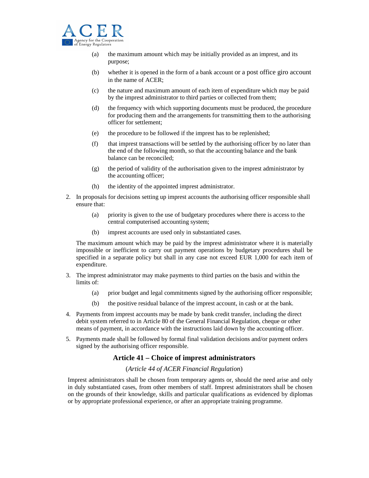

- (a) the maximum amount which may be initially provided as an imprest, and its purpose;
- (b) whether it is opened in the form of a bank account or a post office giro account in the name of ACER;
- (c) the nature and maximum amount of each item of expenditure which may be paid by the imprest administrator to third parties or collected from them;
- (d) the frequency with which supporting documents must be produced, the procedure for producing them and the arrangements for transmitting them to the authorising officer for settlement;
- (e) the procedure to be followed if the imprest has to be replenished;
- (f) that imprest transactions will be settled by the authorising officer by no later than the end of the following month, so that the accounting balance and the bank balance can be reconciled;
- (g) the period of validity of the authorisation given to the imprest administrator by the accounting officer;
- (h) the identity of the appointed imprest administrator.
- 2. In proposals for decisions setting up imprest accounts the authorising officer responsible shall ensure that:
	- (a) priority is given to the use of budgetary procedures where there is access to the central computerised accounting system;
	- (b) imprest accounts are used only in substantiated cases.

The maximum amount which may be paid by the imprest administrator where it is materially impossible or inefficient to carry out payment operations by budgetary procedures shall be specified in a separate policy but shall in any case not exceed EUR 1,000 for each item of expenditure.

- 3. The imprest administrator may make payments to third parties on the basis and within the limits of:
	- (a) prior budget and legal commitments signed by the authorising officer responsible;
	- (b) the positive residual balance of the imprest account, in cash or at the bank.
- 4. Payments from imprest accounts may be made by bank credit transfer, including the direct debit system referred to in Article 80 of the General Financial Regulation, cheque or other means of payment, in accordance with the instructions laid down by the accounting officer.
- 5. Payments made shall be followed by formal final validation decisions and/or payment orders signed by the authorising officer responsible.

#### **Article 41 – Choice of imprest administrators**

#### (*Article 44 of ACER Financial Regulation*)

Imprest administrators shall be chosen from temporary agents or, should the need arise and only in duly substantiated cases, from other members of staff. Imprest administrators shall be chosen on the grounds of their knowledge, skills and particular qualifications as evidenced by diplomas or by appropriate professional experience, or after an appropriate training programme.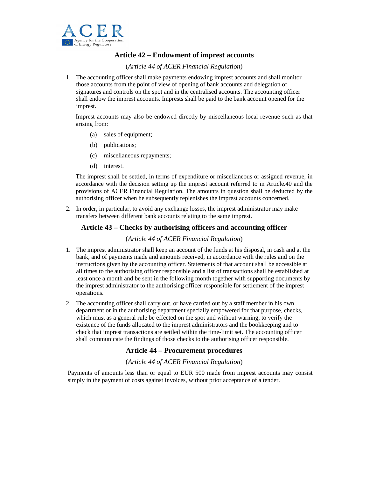

## **Article 42 – Endowment of imprest accounts**

(*Article 44 of ACER Financial Regulation*)

1. The accounting officer shall make payments endowing imprest accounts and shall monitor those accounts from the point of view of opening of bank accounts and delegation of signatures and controls on the spot and in the centralised accounts. The accounting officer shall endow the imprest accounts. Imprests shall be paid to the bank account opened for the imprest.

Imprest accounts may also be endowed directly by miscellaneous local revenue such as that arising from:

- (a) sales of equipment;
- (b) publications;
- (c) miscellaneous repayments;
- (d) interest.

The imprest shall be settled, in terms of expenditure or miscellaneous or assigned revenue, in accordance with the decision setting up the imprest account referred to in Article.40 and the provisions of ACER Financial Regulation. The amounts in question shall be deducted by the authorising officer when he subsequently replenishes the imprest accounts concerned.

2. In order, in particular, to avoid any exchange losses, the imprest administrator may make transfers between different bank accounts relating to the same imprest.

#### **Article 43 – Checks by authorising officers and accounting officer**

#### (*Article 44 of ACER Financial Regulation*)

- 1. The imprest administrator shall keep an account of the funds at his disposal, in cash and at the bank, and of payments made and amounts received, in accordance with the rules and on the instructions given by the accounting officer. Statements of that account shall be accessible at all times to the authorising officer responsible and a list of transactions shall be established at least once a month and be sent in the following month together with supporting documents by the imprest administrator to the authorising officer responsible for settlement of the imprest operations.
- 2. The accounting officer shall carry out, or have carried out by a staff member in his own department or in the authorising department specially empowered for that purpose, checks, which must as a general rule be effected on the spot and without warning, to verify the existence of the funds allocated to the imprest administrators and the bookkeeping and to check that imprest transactions are settled within the time-limit set. The accounting officer shall communicate the findings of those checks to the authorising officer responsible.

## **Article 44 – Procurement procedures**

(*Article 44 of ACER Financial Regulation*)

Payments of amounts less than or equal to EUR 500 made from imprest accounts may consist simply in the payment of costs against invoices, without prior acceptance of a tender.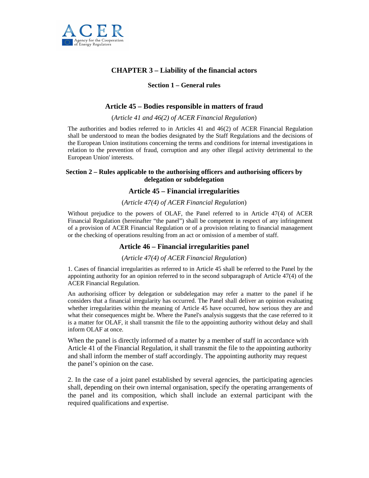

## **CHAPTER 3 – Liability of the financial actors**

#### **Section 1 – General rules**

## **Article 45 – Bodies responsible in matters of fraud**

(*Article 41 and 46(2) of ACER Financial Regulation*)

The authorities and bodies referred to in Articles 41 and 46(2) of ACER Financial Regulation shall be understood to mean the bodies designated by the Staff Regulations and the decisions of the European Union institutions concerning the terms and conditions for internal investigations in relation to the prevention of fraud, corruption and any other illegal activity detrimental to the European Union' interests.

#### **Section 2 – Rules applicable to the authorising officers and authorising officers by delegation or subdelegation**

#### **Article 45 – Financial irregularities**

#### (*Article 47(4) of ACER Financial Regulation*)

Without prejudice to the powers of OLAF, the Panel referred to in Article 47(4) of ACER Financial Regulation (hereinafter "the panel") shall be competent in respect of any infringement of a provision of ACER Financial Regulation or of a provision relating to financial management or the checking of operations resulting from an act or omission of a member of staff.

#### **Article 46 – Financial irregularities panel**

#### (*Article 47(4) of ACER Financial Regulation*)

1. Cases of financial irregularities as referred to in Article 45 shall be referred to the Panel by the appointing authority for an opinion referred to in the second subparagraph of Article 47(4) of the ACER Financial Regulation.

An authorising officer by delegation or subdelegation may refer a matter to the panel if he considers that a financial irregularity has occurred. The Panel shall deliver an opinion evaluating whether irregularities within the meaning of Article 45 have occurred, how serious they are and what their consequences might be. Where the Panel's analysis suggests that the case referred to it is a matter for OLAF, it shall transmit the file to the appointing authority without delay and shall inform OLAF at once.

When the panel is directly informed of a matter by a member of staff in accordance with Article 41 of the Financial Regulation, it shall transmit the file to the appointing authority and shall inform the member of staff accordingly. The appointing authority may request the panel's opinion on the case.

2. In the case of a joint panel established by several agencies, the participating agencies shall, depending on their own internal organisation, specify the operating arrangements of the panel and its composition, which shall include an external participant with the required qualifications and expertise.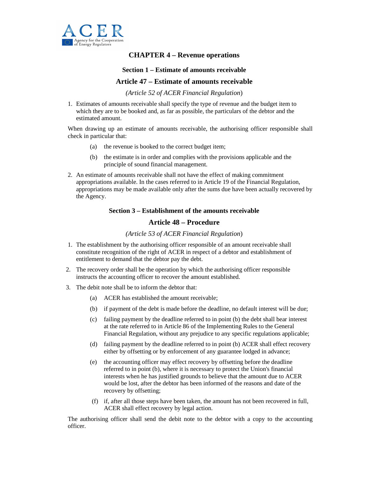

## **CHAPTER 4 – Revenue operations**

#### **Section 1 – Estimate of amounts receivable**

#### **Article 47 – Estimate of amounts receivable**

*(Article 52 of ACER Financial Regulation*)

1. Estimates of amounts receivable shall specify the type of revenue and the budget item to which they are to be booked and, as far as possible, the particulars of the debtor and the estimated amount.

When drawing up an estimate of amounts receivable, the authorising officer responsible shall check in particular that:

- (a) the revenue is booked to the correct budget item;
- (b) the estimate is in order and complies with the provisions applicable and the principle of sound financial management.
- 2. An estimate of amounts receivable shall not have the effect of making commitment appropriations available. In the cases referred to in Article 19 of the Financial Regulation, appropriations may be made available only after the sums due have been actually recovered by the Agency.

#### **Section 3 – Establishment of the amounts receivable**

### **Article 48 – Procedure**

#### *(Article 53 of ACER Financial Regulation*)

- 1. The establishment by the authorising officer responsible of an amount receivable shall constitute recognition of the right of ACER in respect of a debtor and establishment of entitlement to demand that the debtor pay the debt.
- 2. The recovery order shall be the operation by which the authorising officer responsible instructs the accounting officer to recover the amount established.
- 3. The debit note shall be to inform the debtor that:
	- (a) ACER has established the amount receivable;
	- (b) if payment of the debt is made before the deadline, no default interest will be due;
	- (c) failing payment by the deadline referred to in point (b) the debt shall bear interest at the rate referred to in Article 86 of the Implementing Rules to the General Financial Regulation, without any prejudice to any specific regulations applicable;
	- (d) failing payment by the deadline referred to in point (b) ACER shall effect recovery either by offsetting or by enforcement of any guarantee lodged in advance;
	- (e) the accounting officer may effect recovery by offsetting before the deadline referred to in point (b), where it is necessary to protect the Union's financial interests when he has justified grounds to believe that the amount due to ACER would be lost, after the debtor has been informed of the reasons and date of the recovery by offsetting;
	- (f) if, after all those steps have been taken, the amount has not been recovered in full, ACER shall effect recovery by legal action.

The authorising officer shall send the debit note to the debtor with a copy to the accounting officer.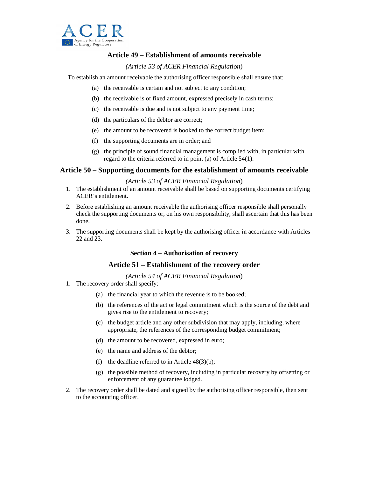

## **Article 49 – Establishment of amounts receivable**

## *(Article 53 of ACER Financial Regulation*)

To establish an amount receivable the authorising officer responsible shall ensure that:

- (a) the receivable is certain and not subject to any condition;
- (b) the receivable is of fixed amount, expressed precisely in cash terms;
- (c) the receivable is due and is not subject to any payment time;
- (d) the particulars of the debtor are correct;
- (e) the amount to be recovered is booked to the correct budget item;
- (f) the supporting documents are in order; and
- (g) the principle of sound financial management is complied with, in particular with regard to the criteria referred to in point (a) of Article 54(1).

## **Article 50 – Supporting documents for the establishment of amounts receivable**

#### *(Article 53 of ACER Financial Regulation*)

- 1. The establishment of an amount receivable shall be based on supporting documents certifying ACER's entitlement.
- 2. Before establishing an amount receivable the authorising officer responsible shall personally check the supporting documents or, on his own responsibility, shall ascertain that this has been done.
- 3. The supporting documents shall be kept by the authorising officer in accordance with Articles 22 and 23.

#### **Section 4 – Authorisation of recovery**

#### **Article 51 – Establishment of the recovery order**

#### *(Article 54 of ACER Financial Regulation*)

- 1. The recovery order shall specify:
	- (a) the financial year to which the revenue is to be booked;
	- (b) the references of the act or legal commitment which is the source of the debt and gives rise to the entitlement to recovery;
	- (c) the budget article and any other subdivision that may apply, including, where appropriate, the references of the corresponding budget commitment;
	- (d) the amount to be recovered, expressed in euro;
	- (e) the name and address of the debtor;
	- (f) the deadline referred to in Article  $48(3)(b)$ ;
	- (g) the possible method of recovery, including in particular recovery by offsetting or enforcement of any guarantee lodged.
- 2. The recovery order shall be dated and signed by the authorising officer responsible, then sent to the accounting officer.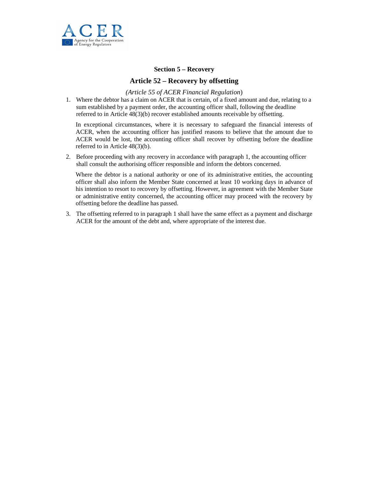

#### **Section 5 – Recovery**

## **Article 52 – Recovery by offsetting**

#### *(Article 55 of ACER Financial Regulation*)

1. Where the debtor has a claim on ACER that is certain, of a fixed amount and due, relating to a sum established by a payment order, the accounting officer shall, following the deadline referred to in Article 48(3)(b) recover established amounts receivable by offsetting.

In exceptional circumstances, where it is necessary to safeguard the financial interests of ACER, when the accounting officer has justified reasons to believe that the amount due to ACER would be lost, the accounting officer shall recover by offsetting before the deadline referred to in Article 48(3)(b).

2. Before proceeding with any recovery in accordance with paragraph 1, the accounting officer shall consult the authorising officer responsible and inform the debtors concerned.

Where the debtor is a national authority or one of its administrative entities, the accounting officer shall also inform the Member State concerned at least 10 working days in advance of his intention to resort to recovery by offsetting. However, in agreement with the Member State or administrative entity concerned, the accounting officer may proceed with the recovery by offsetting before the deadline has passed.

3. The offsetting referred to in paragraph 1 shall have the same effect as a payment and discharge ACER for the amount of the debt and, where appropriate of the interest due.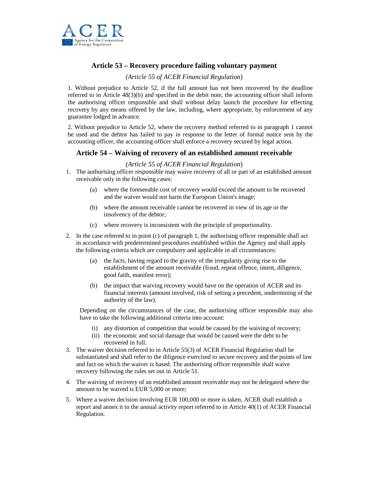

## **Article 53 – Recovery procedure failing voluntary payment**

#### *(Article 55 of ACER Financial Regulation*)

1. Without prejudice to Article 52, if the full amount has not been recovered by the deadline referred to in Article 48(3)(b) and specified in the debit note, the accounting officer shall inform the authorising officer responsible and shall without delay launch the procedure for effecting recovery by any means offered by the law, including, where appropriate, by enforcement of any guarantee lodged in advance.

2. Without prejudice to Article 52, where the recovery method referred to in paragraph 1 cannot be used and the debtor has failed to pay in response to the letter of formal notice sent by the accounting officer, the accounting officer shall enforce a recovery secured by legal action.

## **Article 54 – Waiving of recovery of an established amount receivable**

#### *(Article 55 of ACER Financial Regulation*)

- 1. The authorising officer responsible may waive recovery of all or part of an established amount receivable only in the following cases:
	- (a) where the foreseeable cost of recovery would exceed the amount to be recovered and the waiver would not harm the European Union's image;
	- (b) where the amount receivable cannot be recovered in view of its age or the insolvency of the debtor;
	- (c) where recovery is inconsistent with the principle of proportionality.
- 2. In the case referred to in point (c) of paragraph 1, the authorising officer responsible shall act in accordance with predetermined procedures established within the Agency and shall apply the following criteria which are compulsory and applicable in all circumstances:
	- (a) the facts, having regard to the gravity of the irregularity giving rise to the establishment of the amount receivable (fraud, repeat offence, intent, diligence, good faith, manifest error);
	- (b) the impact that waiving recovery would have on the operation of ACER and its financial interests (amount involved, risk of setting a precedent, undermining of the authority of the law).

Depending on the circumstances of the case, the authorising officer responsible may also have to take the following additional criteria into account:

- (i) any distortion of competition that would be caused by the waiving of recovery;
- (ii) the economic and social damage that would be caused were the debt to be recovered in full.
- 3. The waiver decision referred to in Article 55(3) of ACER Financial Regulation shall be substantiated and shall refer to the diligence exercised to secure recovery and the points of law and fact on which the waiver is based. The authorising officer responsible shall waive recovery following the rules set out in Article 51.
- 4. The waiving of recovery of an established amount receivable may not be delegated where the amount to be waived is EUR 5,000 or more;
- 5. Where a waiver decision involving EUR 100,000 or more is taken, ACER shall establish a report and annex it to the annual activity report referred to in Article 40(1) of ACER Financial Regulation.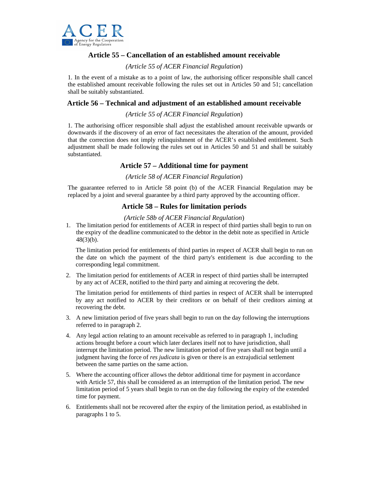

## **Article 55 – Cancellation of an established amount receivable**

### *(Article 55 of ACER Financial Regulation*)

1. In the event of a mistake as to a point of law, the authorising officer responsible shall cancel the established amount receivable following the rules set out in Articles 50 and 51; cancellation shall be suitably substantiated.

## **Article 56 – Technical and adjustment of an established amount receivable**

#### *(Article 55 of ACER Financial Regulation*)

1. The authorising officer responsible shall adjust the established amount receivable upwards or downwards if the discovery of an error of fact necessitates the alteration of the amount, provided that the correction does not imply relinquishment of the ACER's established entitlement. Such adjustment shall be made following the rules set out in Articles 50 and 51 and shall be suitably substantiated.

## **Article 57 – Additional time for payment**

#### *(Article 58 of ACER Financial Regulation*)

The guarantee referred to in Article 58 point (b) of the ACER Financial Regulation may be replaced by a joint and several guarantee by a third party approved by the accounting officer.

## **Article 58 – Rules for limitation periods**

#### *(Article 58b of ACER Financial Regulation*)

1. The limitation period for entitlements of ACER in respect of third parties shall begin to run on the expiry of the deadline communicated to the debtor in the debit note as specified in Article  $48(3)(b)$ .

The limitation period for entitlements of third parties in respect of ACER shall begin to run on the date on which the payment of the third party's entitlement is due according to the corresponding legal commitment.

2. The limitation period for entitlements of ACER in respect of third parties shall be interrupted by any act of ACER, notified to the third party and aiming at recovering the debt.

The limitation period for entitlements of third parties in respect of ACER shall be interrupted by any act notified to ACER by their creditors or on behalf of their creditors aiming at recovering the debt.

- 3. A new limitation period of five years shall begin to run on the day following the interruptions referred to in paragraph 2.
- 4. Any legal action relating to an amount receivable as referred to in paragraph 1, including actions brought before a court which later declares itself not to have jurisdiction, shall interrupt the limitation period. The new limitation period of five years shall not begin until a judgment having the force of *res judicata* is given or there is an extrajudicial settlement between the same parties on the same action.
- 5. Where the accounting officer allows the debtor additional time for payment in accordance with Article 57, this shall be considered as an interruption of the limitation period. The new limitation period of 5 years shall begin to run on the day following the expiry of the extended time for payment.
- 6. Entitlements shall not be recovered after the expiry of the limitation period, as established in paragraphs 1 to 5.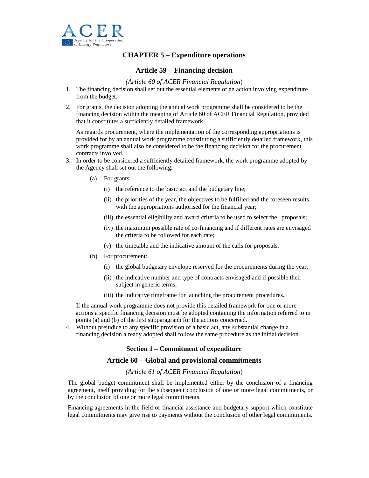

## **CHAPTER 5 – Expenditure operations**

## **Article 59 – Financing decision**

#### *(Article 60 of ACER Financial Regulation*)

- 1. The financing decision shall set out the essential elements of an action involving expenditure from the budget.
- 2. For grants, the decision adopting the annual work programme shall be considered to be the financing decision within the meaning of Article 60 of ACER Financial Regulation, provided that it constitutes a sufficiently detailed framework.

As regards procurement, where the implementation of the corresponding appropriations is provided for by an annual work programme constituting a sufficiently detailed framework, this work programme shall also be considered to be the financing decision for the procurement contracts involved.

- 3. In order to be considered a sufficiently detailed framework, the work programme adopted by the Agency shall set out the following:
	- (a) For grants:
		- (i) the reference to the basic act and the budgetary line;
		- (ii) the priorities of the year, the objectives to be fulfilled and the foreseen results with the appropriations authorised for the financial year;
		- (iii) the essential eligibility and award criteria to be used to select the proposals;
		- (iv) the maximum possible rate of co-financing and if different rates are envisaged the criteria to be followed for each rate;
		- (v) the timetable and the indicative amount of the calls for proposals.
	- (b) For procurement:
		- (i) the global budgetary envelope reserved for the procurements during the year;
		- (ii) the indicative number and type of contracts envisaged and if possible their subject in generic terms;
		- (iii) the indicative timeframe for launching the procurement procedures.

If the annual work programme does not provide this detailed framework for one or more actions a specific financing decision must be adopted containing the information referred to in points (a) and (b) of the first subparagraph for the actions concerned.

4. Without prejudice to any specific provision of a basic act, any substantial change in a financing decision already adopted shall follow the same procedure as the initial decision.

#### **Section 1 – Commitment of expenditure**

#### **Article 60 – Global and provisional commitments**

#### *(Article 61 of ACER Financial Regulation*)

The global budget commitment shall be implemented either by the conclusion of a financing agreement, itself providing for the subsequent conclusion of one or more legal commitments, or by the conclusion of one or more legal commitments.

Financing agreements in the field of financial assistance and budgetary support which constitute legal commitments may give rise to payments without the conclusion of other legal commitments.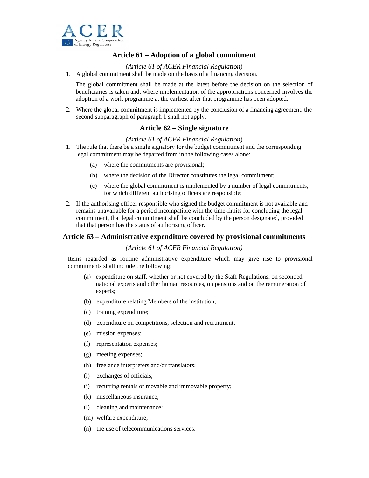

## **Article 61 – Adoption of a global commitment**

#### *(Article 61 of ACER Financial Regulation*)

1. A global commitment shall be made on the basis of a financing decision.

The global commitment shall be made at the latest before the decision on the selection of beneficiaries is taken and, where implementation of the appropriations concerned involves the adoption of a work programme at the earliest after that programme has been adopted.

2. Where the global commitment is implemented by the conclusion of a financing agreement, the second subparagraph of paragraph 1 shall not apply.

## **Article 62 – Single signature**

#### *(Article 61 of ACER Financial Regulation*)

- 1. The rule that there be a single signatory for the budget commitment and the corresponding legal commitment may be departed from in the following cases alone:
	- (a) where the commitments are provisional;
	- (b) where the decision of the Director constitutes the legal commitment;
	- (c) where the global commitment is implemented by a number of legal commitments, for which different authorising officers are responsible;
- 2. If the authorising officer responsible who signed the budget commitment is not available and remains unavailable for a period incompatible with the time-limits for concluding the legal commitment, that legal commitment shall be concluded by the person designated, provided that that person has the status of authorising officer.

#### **Article 63 – Administrative expenditure covered by provisional commitments**

#### *(Article 61 of ACER Financial Regulation)*

Items regarded as routine administrative expenditure which may give rise to provisional commitments shall include the following:

- (a) expenditure on staff, whether or not covered by the Staff Regulations, on seconded national experts and other human resources, on pensions and on the remuneration of experts;
- (b) expenditure relating Members of the institution;
- (c) training expenditure;
- (d) expenditure on competitions, selection and recruitment;
- (e) mission expenses;
- (f) representation expenses;
- (g) meeting expenses;
- (h) freelance interpreters and/or translators;
- (i) exchanges of officials;
- (j) recurring rentals of movable and immovable property;
- (k) miscellaneous insurance;
- (l) cleaning and maintenance;
- (m) welfare expenditure;
- (n) the use of telecommunications services;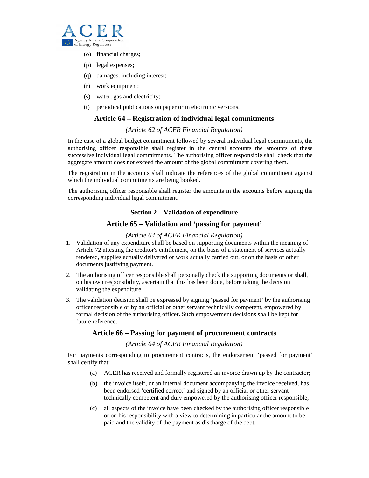

- (o) financial charges;
- (p) legal expenses;
- (q) damages, including interest;
- (r) work equipment;
- (s) water, gas and electricity;
- (t) periodical publications on paper or in electronic versions.

#### **Article 64 – Registration of individual legal commitments**

#### *(Article 62 of ACER Financial Regulation)*

In the case of a global budget commitment followed by several individual legal commitments, the authorising officer responsible shall register in the central accounts the amounts of these successive individual legal commitments. The authorising officer responsible shall check that the aggregate amount does not exceed the amount of the global commitment covering them.

The registration in the accounts shall indicate the references of the global commitment against which the individual commitments are being booked.

The authorising officer responsible shall register the amounts in the accounts before signing the corresponding individual legal commitment.

#### **Section 2 – Validation of expenditure**

#### **Article 65 – Validation and 'passing for payment'**

#### *(Article 64 of ACER Financial Regulation)*

- 1. Validation of any expenditure shall be based on supporting documents within the meaning of Article 72 attesting the creditor's entitlement, on the basis of a statement of services actually rendered, supplies actually delivered or work actually carried out, or on the basis of other documents justifying payment.
- 2. The authorising officer responsible shall personally check the supporting documents or shall, on his own responsibility, ascertain that this has been done, before taking the decision validating the expenditure.
- 3. The validation decision shall be expressed by signing 'passed for payment' by the authorising officer responsible or by an official or other servant technically competent, empowered by formal decision of the authorising officer. Such empowerment decisions shall be kept for future reference.

### **Article 66 – Passing for payment of procurement contracts**

#### *(Article 64 of ACER Financial Regulation)*

For payments corresponding to procurement contracts, the endorsement 'passed for payment' shall certify that:

- (a) ACER has received and formally registered an invoice drawn up by the contractor;
- (b) the invoice itself, or an internal document accompanying the invoice received, has been endorsed 'certified correct' and signed by an official or other servant technically competent and duly empowered by the authorising officer responsible;
- (c) all aspects of the invoice have been checked by the authorising officer responsible or on his responsibility with a view to determining in particular the amount to be paid and the validity of the payment as discharge of the debt.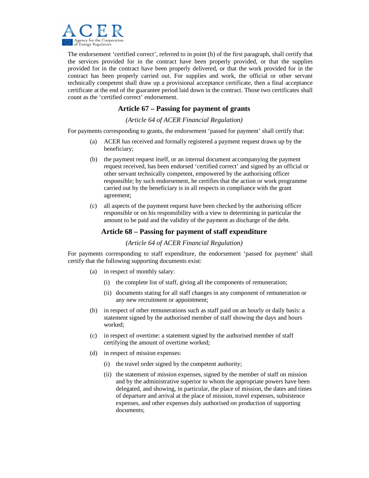

The endorsement 'certified correct', referred to in point (b) of the first paragraph, shall certify that the services provided for in the contract have been properly provided, or that the supplies provided for in the contract have been properly delivered, or that the work provided for in the contract has been properly carried out. For supplies and work, the official or other servant technically competent shall draw up a provisional acceptance certificate, then a final acceptance certificate at the end of the guarantee period laid down in the contract. Those two certificates shall count as the 'certified correct' endorsement.

## **Article 67 – Passing for payment of grants**

*(Article 64 of ACER Financial Regulation)* 

For payments corresponding to grants, the endorsement 'passed for payment' shall certify that:

- (a) ACER has received and formally registered a payment request drawn up by the beneficiary;
- (b) the payment request itself, or an internal document accompanying the payment request received, has been endorsed 'certified correct' and signed by an official or other servant technically competent, empowered by the authorising officer responsible; by such endorsement, he certifies that the action or work programme carried out by the beneficiary is in all respects in compliance with the grant agreement;
- (c) all aspects of the payment request have been checked by the authorising officer responsible or on his responsibility with a view to determining in particular the amount to be paid and the validity of the payment as discharge of the debt.

## **Article 68 – Passing for payment of staff expenditure**

*(Article 64 of ACER Financial Regulation)* 

For payments corresponding to staff expenditure, the endorsement 'passed for payment' shall certify that the following supporting documents exist:

- (a) in respect of monthly salary:
	- (i) the complete list of staff, giving all the components of remuneration;
	- (ii) documents stating for all staff changes in any component of remuneration or any new recruitment or appointment;
- (b) in respect of other remunerations such as staff paid on an hourly or daily basis: a statement signed by the authorised member of staff showing the days and hours worked;
- (c) in respect of overtime: a statement signed by the authorised member of staff certifying the amount of overtime worked;
- (d) in respect of mission expenses:
	- (i) the travel order signed by the competent authority;
	- (ii) the statement of mission expenses, signed by the member of staff on mission and by the administrative superior to whom the appropriate powers have been delegated, and showing, in particular, the place of mission, the dates and times of departure and arrival at the place of mission, travel expenses, subsistence expenses, and other expenses duly authorised on production of supporting documents;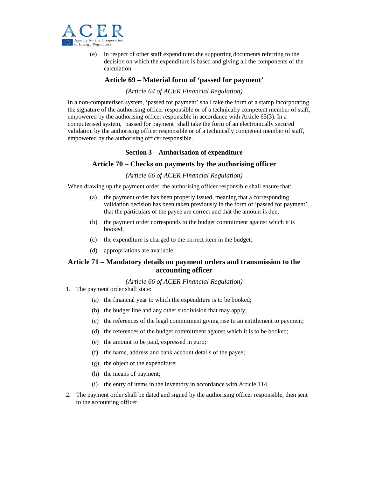

(e) in respect of other staff expenditure: the supporting documents referring to the decision on which the expenditure is based and giving all the components of the calculation.

## **Article 69 – Material form of 'passed for payment'**

#### *(Article 64 of ACER Financial Regulation)*

In a non-computerised system, 'passed for payment' shall take the form of a stamp incorporating the signature of the authorising officer responsible or of a technically competent member of staff, empowered by the authorising officer responsible in accordance with Article 65(3). In a computerised system, 'passed for payment' shall take the form of an electronically secured validation by the authorising officer responsible or of a technically competent member of staff, empowered by the authorising officer responsible.

#### **Section 3 – Authorisation of expenditure**

#### **Article 70 – Checks on payments by the authorising officer**

#### *(Article 66 of ACER Financial Regulation)*

When drawing up the payment order, the authorising officer responsible shall ensure that:

- (a) the payment order has been properly issued, meaning that a corresponding validation decision has been taken previously in the form of 'passed for payment', that the particulars of the payee are correct and that the amount is due;
- (b) the payment order corresponds to the budget commitment against which it is booked;
- (c) the expenditure is charged to the correct item in the budget;
- (d) appropriations are available.

## **Article 71 – Mandatory details on payment orders and transmission to the accounting officer**

#### *(Article 66 of ACER Financial Regulation)*

- 1. The payment order shall state:
	- (a) the financial year to which the expenditure is to be booked;
	- (b) the budget line and any other subdivision that may apply;
	- (c) the references of the legal commitment giving rise to an entitlement to payment;
	- (d) the references of the budget commitment against which it is to be booked;
	- (e) the amount to be paid, expressed in euro;
	- (f) the name, address and bank account details of the payee;
	- (g) the object of the expenditure;
	- (h) the means of payment;
	- (i) the entry of items in the inventory in accordance with Article 114.
- 2. The payment order shall be dated and signed by the authorising officer responsible, then sent to the accounting officer.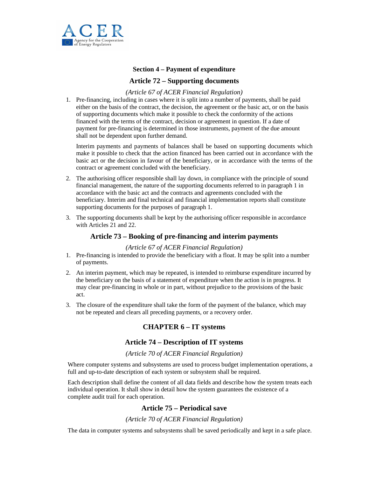

#### **Section 4 – Payment of expenditure**

## **Article 72 – Supporting documents**

#### *(Article 67 of ACER Financial Regulation)*

1. Pre-financing, including in cases where it is split into a number of payments, shall be paid either on the basis of the contract, the decision, the agreement or the basic act, or on the basis of supporting documents which make it possible to check the conformity of the actions financed with the terms of the contract, decision or agreement in question. If a date of payment for pre-financing is determined in those instruments, payment of the due amount shall not be dependent upon further demand.

Interim payments and payments of balances shall be based on supporting documents which make it possible to check that the action financed has been carried out in accordance with the basic act or the decision in favour of the beneficiary, or in accordance with the terms of the contract or agreement concluded with the beneficiary.

- 2. The authorising officer responsible shall lay down, in compliance with the principle of sound financial management, the nature of the supporting documents referred to in paragraph 1 in accordance with the basic act and the contracts and agreements concluded with the beneficiary. Interim and final technical and financial implementation reports shall constitute supporting documents for the purposes of paragraph 1.
- 3. The supporting documents shall be kept by the authorising officer responsible in accordance with Articles 21 and 22.

### **Article 73 – Booking of pre-financing and interim payments**

#### *(Article 67 of ACER Financial Regulation)*

- 1. Pre-financing is intended to provide the beneficiary with a float. It may be split into a number of payments.
- 2. An interim payment, which may be repeated, is intended to reimburse expenditure incurred by the beneficiary on the basis of a statement of expenditure when the action is in progress. It may clear pre-financing in whole or in part, without prejudice to the provisions of the basic act.
- 3. The closure of the expenditure shall take the form of the payment of the balance, which may not be repeated and clears all preceding payments, or a recovery order.

## **CHAPTER 6 – IT systems**

#### **Article 74 – Description of IT systems**

#### *(Article 70 of ACER Financial Regulation)*

Where computer systems and subsystems are used to process budget implementation operations, a full and up-to-date description of each system or subsystem shall be required.

Each description shall define the content of all data fields and describe how the system treats each individual operation. It shall show in detail how the system guarantees the existence of a complete audit trail for each operation.

## **Article 75 – Periodical save**

#### *(Article 70 of ACER Financial Regulation)*

The data in computer systems and subsystems shall be saved periodically and kept in a safe place.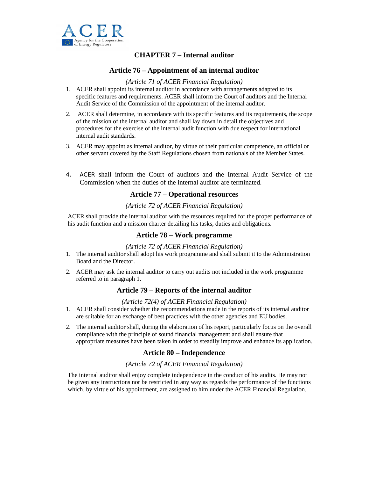

## **CHAPTER 7 – Internal auditor**

## **Article 76 – Appointment of an internal auditor**

#### *(Article 71 of ACER Financial Regulation)*

- 1. ACER shall appoint its internal auditor in accordance with arrangements adapted to its specific features and requirements. ACER shall inform the Court of auditors and the Internal Audit Service of the Commission of the appointment of the internal auditor.
- 2. ACER shall determine, in accordance with its specific features and its requirements, the scope of the mission of the internal auditor and shall lay down in detail the objectives and procedures for the exercise of the internal audit function with due respect for international internal audit standards.
- 3. ACER may appoint as internal auditor, by virtue of their particular competence, an official or other servant covered by the Staff Regulations chosen from nationals of the Member States.
- 4. ACER shall inform the Court of auditors and the Internal Audit Service of the Commission when the duties of the internal auditor are terminated.

#### **Article 77 – Operational resources**

## *(Article 72 of ACER Financial Regulation)*

ACER shall provide the internal auditor with the resources required for the proper performance of his audit function and a mission charter detailing his tasks, duties and obligations.

#### **Article 78 – Work programme**

#### *(Article 72 of ACER Financial Regulation)*

- 1. The internal auditor shall adopt his work programme and shall submit it to the Administration Board and the Director.
- 2. ACER may ask the internal auditor to carry out audits not included in the work programme referred to in paragraph 1.

### **Article 79 – Reports of the internal auditor**

#### *(Article 72(4) of ACER Financial Regulation)*

- 1. ACER shall consider whether the recommendations made in the reports of its internal auditor are suitable for an exchange of best practices with the other agencies and EU bodies.
- 2. The internal auditor shall, during the elaboration of his report, particularly focus on the overall compliance with the principle of sound financial management and shall ensure that appropriate measures have been taken in order to steadily improve and enhance its application.

#### **Article 80 – Independence**

#### *(Article 72 of ACER Financial Regulation)*

The internal auditor shall enjoy complete independence in the conduct of his audits. He may not be given any instructions nor be restricted in any way as regards the performance of the functions which, by virtue of his appointment, are assigned to him under the ACER Financial Regulation.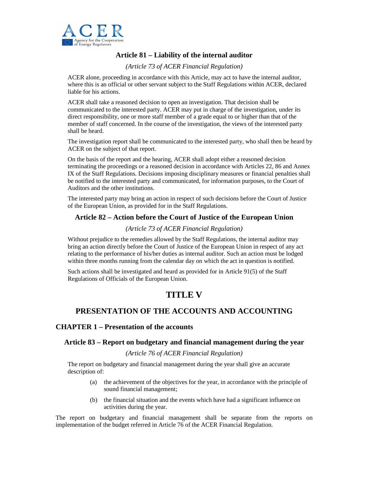

## **Article 81 – Liability of the internal auditor**

*(Article 73 of ACER Financial Regulation)* 

ACER alone, proceeding in accordance with this Article, may act to have the internal auditor, where this is an official or other servant subject to the Staff Regulations within ACER, declared liable for his actions.

ACER shall take a reasoned decision to open an investigation. That decision shall be communicated to the interested party. ACER may put in charge of the investigation, under its direct responsibility, one or more staff member of a grade equal to or higher than that of the member of staff concerned. In the course of the investigation, the views of the interested party shall be heard.

The investigation report shall be communicated to the interested party, who shall then be heard by ACER on the subject of that report.

On the basis of the report and the hearing, ACER shall adopt either a reasoned decision terminating the proceedings or a reasoned decision in accordance with Articles 22, 86 and Annex IX of the Staff Regulations. Decisions imposing disciplinary measures or financial penalties shall be notified to the interested party and communicated, for information purposes, to the Court of Auditors and the other institutions.

The interested party may bring an action in respect of such decisions before the Court of Justice of the European Union, as provided for in the Staff Regulations.

## **Article 82 – Action before the Court of Justice of the European Union**

#### *(Article 73 of ACER Financial Regulation)*

Without prejudice to the remedies allowed by the Staff Regulations, the internal auditor may bring an action directly before the Court of Justice of the European Union in respect of any act relating to the performance of his/her duties as internal auditor. Such an action must be lodged within three months running from the calendar day on which the act in question is notified.

Such actions shall be investigated and heard as provided for in Article 91(5) of the Staff Regulations of Officials of the European Union.

## **TITLE V**

## **PRESENTATION OF THE ACCOUNTS AND ACCOUNTING**

#### **CHAPTER 1 – Presentation of the accounts**

#### **Article 83 – Report on budgetary and financial management during the year**

#### *(Article 76 of ACER Financial Regulation)*

The report on budgetary and financial management during the year shall give an accurate description of:

- (a) the achievement of the objectives for the year, in accordance with the principle of sound financial management;
- (b) the financial situation and the events which have had a significant influence on activities during the year.

The report on budgetary and financial management shall be separate from the reports on implementation of the budget referred in Article 76 of the ACER Financial Regulation.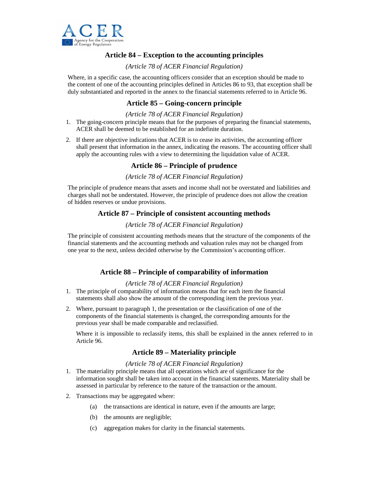

## **Article 84 – Exception to the accounting principles**

### *(Article 78 of ACER Financial Regulation)*

Where, in a specific case, the accounting officers consider that an exception should be made to the content of one of the accounting principles defined in Articles 86 to 93, that exception shall be duly substantiated and reported in the annex to the financial statements referred to in Article 96.

## **Article 85 – Going-concern principle**

#### *(Article 78 of ACER Financial Regulation)*

- 1. The going-concern principle means that for the purposes of preparing the financial statements, ACER shall be deemed to be established for an indefinite duration.
- 2. If there are objective indications that ACER is to cease its activities, the accounting officer shall present that information in the annex, indicating the reasons. The accounting officer shall apply the accounting rules with a view to determining the liquidation value of ACER.

## **Article 86 – Principle of prudence**

#### *(Article 78 of ACER Financial Regulation)*

The principle of prudence means that assets and income shall not be overstated and liabilities and charges shall not be understated. However, the principle of prudence does not allow the creation of hidden reserves or undue provisions.

## **Article 87 – Principle of consistent accounting methods**

#### *(Article 78 of ACER Financial Regulation)*

The principle of consistent accounting methods means that the structure of the components of the financial statements and the accounting methods and valuation rules may not be changed from one year to the next, unless decided otherwise by the Commission's accounting officer.

## **Article 88 – Principle of comparability of information**

#### *(Article 78 of ACER Financial Regulation)*

- 1. The principle of comparability of information means that for each item the financial statements shall also show the amount of the corresponding item the previous year.
- 2. Where, pursuant to paragraph 1, the presentation or the classification of one of the components of the financial statements is changed, the corresponding amounts for the previous year shall be made comparable and reclassified.

Where it is impossible to reclassify items, this shall be explained in the annex referred to in Article 96.

## **Article 89 – Materiality principle**

#### *(Article 78 of ACER Financial Regulation)*

- 1. The materiality principle means that all operations which are of significance for the information sought shall be taken into account in the financial statements. Materiality shall be assessed in particular by reference to the nature of the transaction or the amount.
- 2. Transactions may be aggregated where:
	- (a) the transactions are identical in nature, even if the amounts are large;
	- (b) the amounts are negligible;
	- (c) aggregation makes for clarity in the financial statements.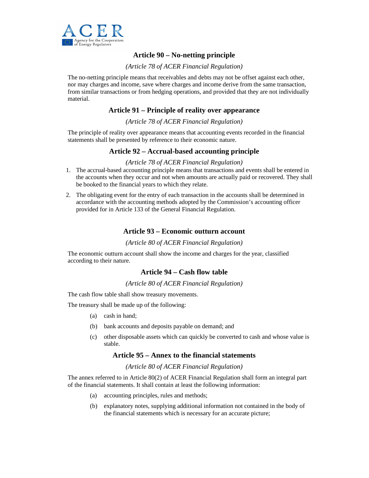

## **Article 90 – No-netting principle**

#### *(Article 78 of ACER Financial Regulation)*

The no-netting principle means that receivables and debts may not be offset against each other, nor may charges and income, save where charges and income derive from the same transaction, from similar transactions or from hedging operations, and provided that they are not individually material.

## **Article 91 – Principle of reality over appearance**

#### *(Article 78 of ACER Financial Regulation)*

The principle of reality over appearance means that accounting events recorded in the financial statements shall be presented by reference to their economic nature.

## **Article 92 – Accrual-based accounting principle**

#### *(Article 78 of ACER Financial Regulation)*

- 1. The accrual-based accounting principle means that transactions and events shall be entered in the accounts when they occur and not when amounts are actually paid or recovered. They shall be booked to the financial years to which they relate.
- 2. The obligating event for the entry of each transaction in the accounts shall be determined in accordance with the accounting methods adopted by the Commission's accounting officer provided for in Article 133 of the General Financial Regulation.

#### **Article 93 – Economic outturn account**

#### *(Article 80 of ACER Financial Regulation)*

The economic outturn account shall show the income and charges for the year, classified according to their nature.

## **Article 94 – Cash flow table**

#### *(Article 80 of ACER Financial Regulation)*

The cash flow table shall show treasury movements.

The treasury shall be made up of the following:

- (a) cash in hand;
- (b) bank accounts and deposits payable on demand; and
- (c) other disposable assets which can quickly be converted to cash and whose value is stable.

#### **Article 95 – Annex to the financial statements**

*(Article 80 of ACER Financial Regulation)* 

The annex referred to in Article 80(2) of ACER Financial Regulation shall form an integral part of the financial statements. It shall contain at least the following information:

- (a) accounting principles, rules and methods;
- (b) explanatory notes, supplying additional information not contained in the body of the financial statements which is necessary for an accurate picture;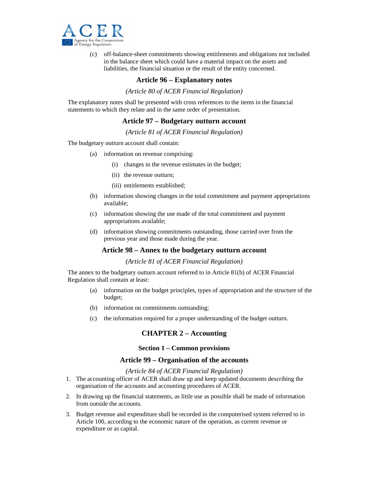

(c) off-balance-sheet commitments showing entitlements and obligations not included in the balance sheet which could have a material impact on the assets and liabilities, the financial situation or the result of the entity concerned.

#### **Article 96 – Explanatory notes**

*(Article 80 of ACER Financial Regulation)* 

The explanatory notes shall be presented with cross references to the items in the financial statements to which they relate and in the same order of presentation.

#### **Article 97 – Budgetary outturn account**

*(Article 81 of ACER Financial Regulation)* 

The budgetary outturn account shall contain:

- (a) information on revenue comprising:
	- (i) changes in the revenue estimates in the budget;
	- (ii) the revenue outturn;
	- (iii) entitlements established;
- (b) information showing changes in the total commitment and payment appropriations available;
- (c) information showing the use made of the total commitment and payment appropriations available;
- (d) information showing commitments outstanding, those carried over from the previous year and those made during the year.

#### **Article 98 – Annex to the budgetary outturn account**

*(Article 81 of ACER Financial Regulation)* 

The annex to the budgetary outturn account referred to in Article 81(b) of ACER Financial Regulation shall contain at least:

- (a) information on the budget principles, types of appropriation and the structure of the budget;
- (b) information on commitments outstanding;
- (c) the information required for a proper understanding of the budget outturn.

#### **CHAPTER 2 – Accounting**

#### **Section 1 – Common provisions**

#### **Article 99 – Organisation of the accounts**

*(Article 84 of ACER Financial Regulation)* 

- 1. The accounting officer of ACER shall draw up and keep updated documents describing the organisation of the accounts and accounting procedures of ACER.
- 2. In drawing up the financial statements, as little use as possible shall be made of information from outside the accounts.
- 3. Budget revenue and expenditure shall be recorded in the computerised system referred to in Article 100, according to the economic nature of the operation, as current revenue or expenditure or as capital.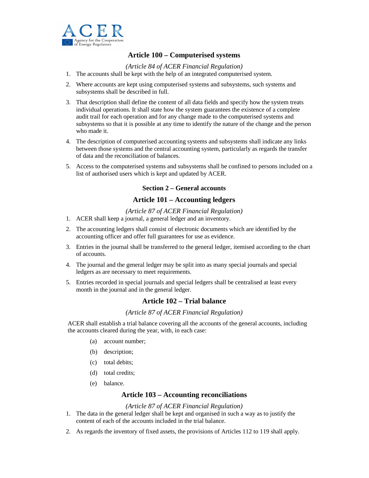

## **Article 100 – Computerised systems**

*(Article 84 of ACER Financial Regulation)* 

- 1. The accounts shall be kept with the help of an integrated computerised system.
- 2. Where accounts are kept using computerised systems and subsystems, such systems and subsystems shall be described in full.
- 3. That description shall define the content of all data fields and specify how the system treats individual operations. It shall state how the system guarantees the existence of a complete audit trail for each operation and for any change made to the computerised systems and subsystems so that it is possible at any time to identify the nature of the change and the person who made it.
- 4. The description of computerised accounting systems and subsystems shall indicate any links between those systems and the central accounting system, particularly as regards the transfer of data and the reconciliation of balances.
- 5. Access to the computerised systems and subsystems shall be confined to persons included on a list of authorised users which is kept and updated by ACER.

#### **Section 2 – General accounts**

## **Article 101 – Accounting ledgers**

*(Article 87 of ACER Financial Regulation)* 

- 1. ACER shall keep a journal, a general ledger and an inventory.
- 2. The accounting ledgers shall consist of electronic documents which are identified by the accounting officer and offer full guarantees for use as evidence.
- 3. Entries in the journal shall be transferred to the general ledger, itemised according to the chart of accounts.
- 4. The journal and the general ledger may be split into as many special journals and special ledgers as are necessary to meet requirements.
- 5. Entries recorded in special journals and special ledgers shall be centralised at least every month in the journal and in the general ledger.

## **Article 102 – Trial balance**

#### *(Article 87 of ACER Financial Regulation)*

ACER shall establish a trial balance covering all the accounts of the general accounts, including the accounts cleared during the year, with, in each case:

- (a) account number;
- (b) description;
- (c) total debits;
- (d) total credits;
- (e) balance.

#### **Article 103 – Accounting reconciliations**

#### *(Article 87 of ACER Financial Regulation)*

- 1. The data in the general ledger shall be kept and organised in such a way as to justify the content of each of the accounts included in the trial balance.
- 2. As regards the inventory of fixed assets, the provisions of Articles 112 to 119 shall apply.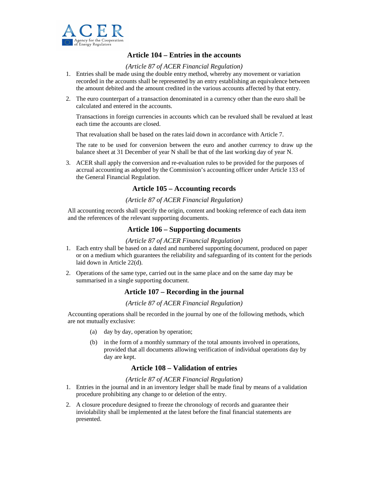

## **Article 104 – Entries in the accounts**

#### *(Article 87 of ACER Financial Regulation)*

- 1. Entries shall be made using the double entry method, whereby any movement or variation recorded in the accounts shall be represented by an entry establishing an equivalence between the amount debited and the amount credited in the various accounts affected by that entry.
- 2. The euro counterpart of a transaction denominated in a currency other than the euro shall be calculated and entered in the accounts.

Transactions in foreign currencies in accounts which can be revalued shall be revalued at least each time the accounts are closed.

That revaluation shall be based on the rates laid down in accordance with Article 7.

The rate to be used for conversion between the euro and another currency to draw up the balance sheet at 31 December of year N shall be that of the last working day of year N.

3. ACER shall apply the conversion and re-evaluation rules to be provided for the purposes of accrual accounting as adopted by the Commission's accounting officer under Article 133 of the General Financial Regulation.

#### **Article 105 – Accounting records**

#### *(Article 87 of ACER Financial Regulation)*

All accounting records shall specify the origin, content and booking reference of each data item and the references of the relevant supporting documents.

#### **Article 106 – Supporting documents**

#### *(Article 87 of ACER Financial Regulation)*

- 1. Each entry shall be based on a dated and numbered supporting document, produced on paper or on a medium which guarantees the reliability and safeguarding of its content for the periods laid down in Article 22(d).
- 2. Operations of the same type, carried out in the same place and on the same day may be summarised in a single supporting document.

## **Article 107 – Recording in the journal**

#### *(Article 87 of ACER Financial Regulation)*

Accounting operations shall be recorded in the journal by one of the following methods, which are not mutually exclusive:

- (a) day by day, operation by operation;
- (b) in the form of a monthly summary of the total amounts involved in operations, provided that all documents allowing verification of individual operations day by day are kept.

## **Article 108 – Validation of entries**

#### *(Article 87 of ACER Financial Regulation)*

- 1. Entries in the journal and in an inventory ledger shall be made final by means of a validation procedure prohibiting any change to or deletion of the entry.
- 2. A closure procedure designed to freeze the chronology of records and guarantee their inviolability shall be implemented at the latest before the final financial statements are presented.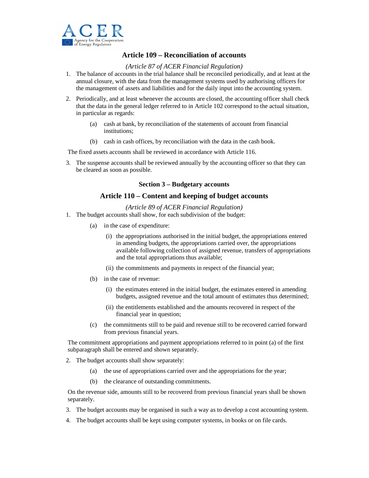

## **Article 109 – Reconciliation of accounts**

#### *(Article 87 of ACER Financial Regulation)*

- 1. The balance of accounts in the trial balance shall be reconciled periodically, and at least at the annual closure, with the data from the management systems used by authorising officers for the management of assets and liabilities and for the daily input into the accounting system.
- 2. Periodically, and at least whenever the accounts are closed, the accounting officer shall check that the data in the general ledger referred to in Article 102 correspond to the actual situation, in particular as regards:
	- (a) cash at bank, by reconciliation of the statements of account from financial institutions;
	- (b) cash in cash offices, by reconciliation with the data in the cash book.

The fixed assets accounts shall be reviewed in accordance with Article 116.

3. The suspense accounts shall be reviewed annually by the accounting officer so that they can be cleared as soon as possible.

#### **Section 3 – Budgetary accounts**

#### **Article 110 – Content and keeping of budget accounts**

*(Article 89 of ACER Financial Regulation)* 

- 1. The budget accounts shall show, for each subdivision of the budget:
	- (a) in the case of expenditure:
		- (i) the appropriations authorised in the initial budget, the appropriations entered in amending budgets, the appropriations carried over, the appropriations available following collection of assigned revenue, transfers of appropriations and the total appropriations thus available;
		- (ii) the commitments and payments in respect of the financial year;
	- (b) in the case of revenue:
		- (i) the estimates entered in the initial budget, the estimates entered in amending budgets, assigned revenue and the total amount of estimates thus determined;
		- (ii) the entitlements established and the amounts recovered in respect of the financial year in question;
	- (c) the commitments still to be paid and revenue still to be recovered carried forward from previous financial years.

The commitment appropriations and payment appropriations referred to in point (a) of the first subparagraph shall be entered and shown separately.

- 2. The budget accounts shall show separately:
	- (a) the use of appropriations carried over and the appropriations for the year;
	- (b) the clearance of outstanding commitments.

On the revenue side, amounts still to be recovered from previous financial years shall be shown separately.

- 3. The budget accounts may be organised in such a way as to develop a cost accounting system.
- 4. The budget accounts shall be kept using computer systems, in books or on file cards.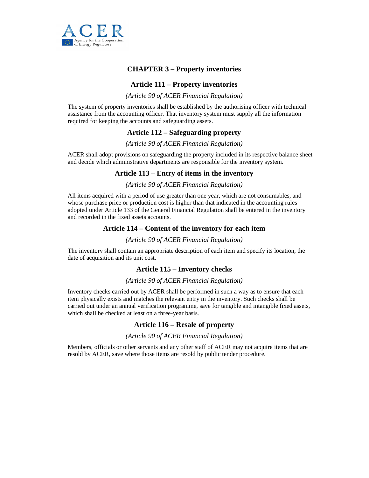

## **CHAPTER 3 – Property inventories**

## **Article 111 – Property inventories**

*(Article 90 of ACER Financial Regulation)* 

The system of property inventories shall be established by the authorising officer with technical assistance from the accounting officer. That inventory system must supply all the information required for keeping the accounts and safeguarding assets.

#### **Article 112 – Safeguarding property**

*(Article 90 of ACER Financial Regulation)* 

ACER shall adopt provisions on safeguarding the property included in its respective balance sheet and decide which administrative departments are responsible for the inventory system.

## **Article 113 – Entry of items in the inventory**

#### *(Article 90 of ACER Financial Regulation)*

All items acquired with a period of use greater than one year, which are not consumables, and whose purchase price or production cost is higher than that indicated in the accounting rules adopted under Article 133 of the General Financial Regulation shall be entered in the inventory and recorded in the fixed assets accounts.

#### **Article 114 – Content of the inventory for each item**

#### *(Article 90 of ACER Financial Regulation)*

The inventory shall contain an appropriate description of each item and specify its location, the date of acquisition and its unit cost.

#### **Article 115 – Inventory checks**

#### *(Article 90 of ACER Financial Regulation)*

Inventory checks carried out by ACER shall be performed in such a way as to ensure that each item physically exists and matches the relevant entry in the inventory. Such checks shall be carried out under an annual verification programme, save for tangible and intangible fixed assets, which shall be checked at least on a three-year basis.

#### **Article 116 – Resale of property**

#### *(Article 90 of ACER Financial Regulation)*

Members, officials or other servants and any other staff of ACER may not acquire items that are resold by ACER, save where those items are resold by public tender procedure.